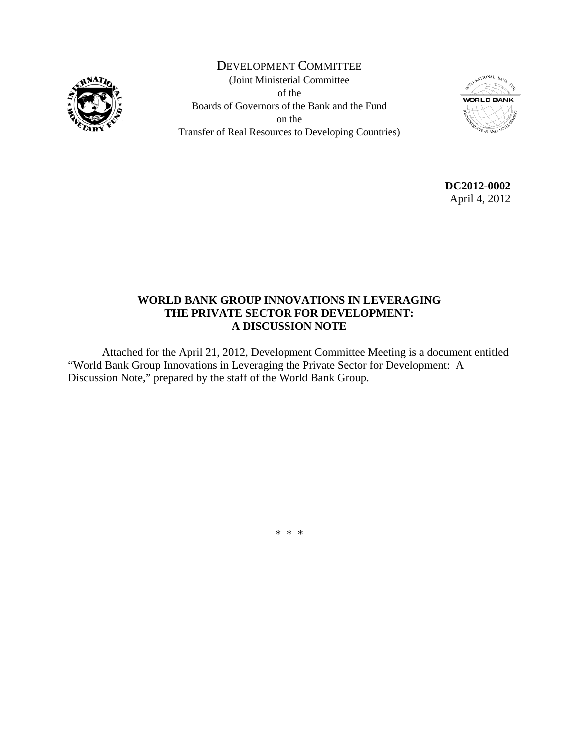

DEVELOPMENT COMMITTEE (Joint Ministerial Committee of the Boards of Governors of the Bank and the Fund on the Transfer of Real Resources to Developing Countries)



**DC2012-0002**  April 4, 2012

# **WORLD BANK GROUP INNOVATIONS IN LEVERAGING THE PRIVATE SECTOR FOR DEVELOPMENT: A DISCUSSION NOTE**

 Attached for the April 21, 2012, Development Committee Meeting is a document entitled "World Bank Group Innovations in Leveraging the Private Sector for Development: A Discussion Note," prepared by the staff of the World Bank Group.

\* \* \*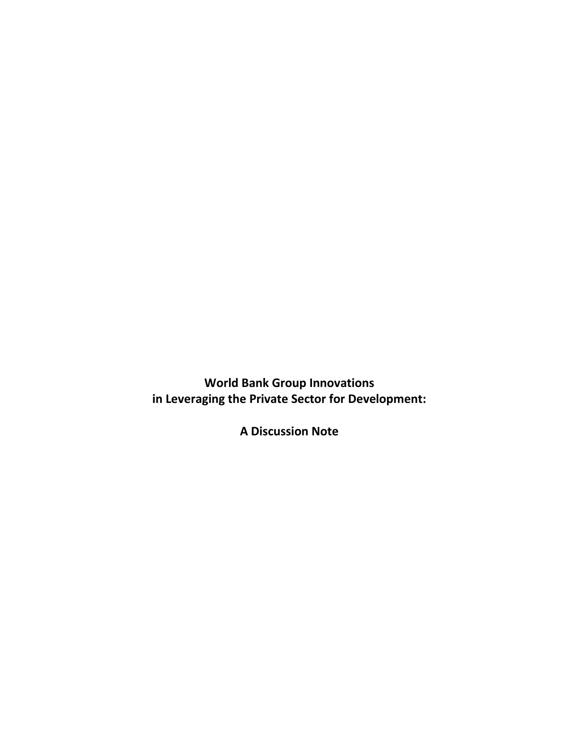**World Bank Group Innovations in Leveraging the Private Sector for Development:**

**A Discussion Note**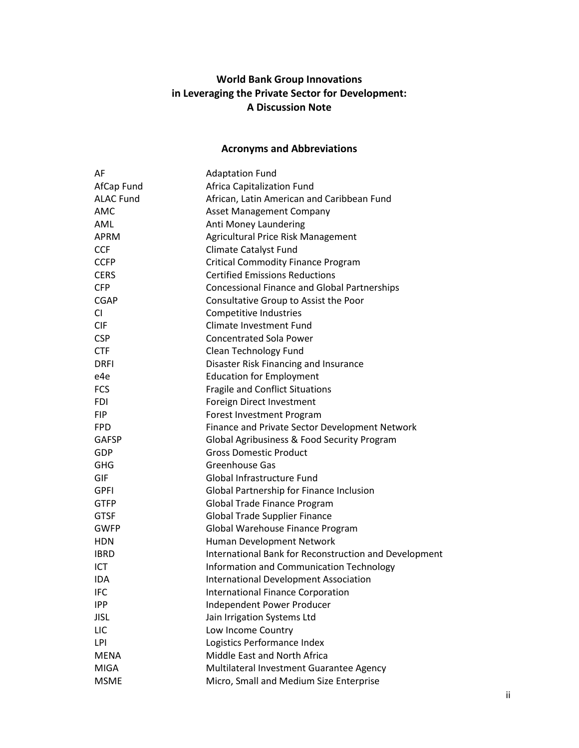# **World Bank Group Innovations in Leveraging the Private Sector for Development: A Discussion Note**

# **Acronyms and Abbreviations**

| AF               | <b>Adaptation Fund</b>                                |  |  |
|------------------|-------------------------------------------------------|--|--|
| AfCap Fund       | Africa Capitalization Fund                            |  |  |
| <b>ALAC Fund</b> | African, Latin American and Caribbean Fund            |  |  |
| <b>AMC</b>       | <b>Asset Management Company</b>                       |  |  |
| AML              | Anti Money Laundering                                 |  |  |
| <b>APRM</b>      | Agricultural Price Risk Management                    |  |  |
| <b>CCF</b>       | Climate Catalyst Fund                                 |  |  |
| <b>CCFP</b>      | <b>Critical Commodity Finance Program</b>             |  |  |
| <b>CERS</b>      | <b>Certified Emissions Reductions</b>                 |  |  |
| <b>CFP</b>       | <b>Concessional Finance and Global Partnerships</b>   |  |  |
| <b>CGAP</b>      | Consultative Group to Assist the Poor                 |  |  |
| CI               | Competitive Industries                                |  |  |
| <b>CIF</b>       | <b>Climate Investment Fund</b>                        |  |  |
| <b>CSP</b>       | <b>Concentrated Sola Power</b>                        |  |  |
| <b>CTF</b>       | Clean Technology Fund                                 |  |  |
| <b>DRFI</b>      | Disaster Risk Financing and Insurance                 |  |  |
| e4e              | <b>Education for Employment</b>                       |  |  |
| <b>FCS</b>       | <b>Fragile and Conflict Situations</b>                |  |  |
| <b>FDI</b>       | Foreign Direct Investment                             |  |  |
| <b>FIP</b>       | Forest Investment Program                             |  |  |
| <b>FPD</b>       | Finance and Private Sector Development Network        |  |  |
| <b>GAFSP</b>     | Global Agribusiness & Food Security Program           |  |  |
| GDP              | <b>Gross Domestic Product</b>                         |  |  |
| <b>GHG</b>       | Greenhouse Gas                                        |  |  |
| GIF              | Global Infrastructure Fund                            |  |  |
| <b>GPFI</b>      | Global Partnership for Finance Inclusion              |  |  |
| <b>GTFP</b>      | Global Trade Finance Program                          |  |  |
| <b>GTSF</b>      | <b>Global Trade Supplier Finance</b>                  |  |  |
| <b>GWFP</b>      | Global Warehouse Finance Program                      |  |  |
| <b>HDN</b>       | Human Development Network                             |  |  |
| <b>IBRD</b>      | International Bank for Reconstruction and Development |  |  |
| ICT              | Information and Communication Technology              |  |  |
| <b>IDA</b>       | <b>International Development Association</b>          |  |  |
| <b>IFC</b>       | <b>International Finance Corporation</b>              |  |  |
| <b>IPP</b>       | Independent Power Producer                            |  |  |
| <b>JISL</b>      | Jain Irrigation Systems Ltd                           |  |  |
| LIC              | Low Income Country                                    |  |  |
| LPI              | Logistics Performance Index                           |  |  |
| <b>MENA</b>      | Middle East and North Africa                          |  |  |
| <b>MIGA</b>      | Multilateral Investment Guarantee Agency              |  |  |
| <b>MSME</b>      | Micro, Small and Medium Size Enterprise               |  |  |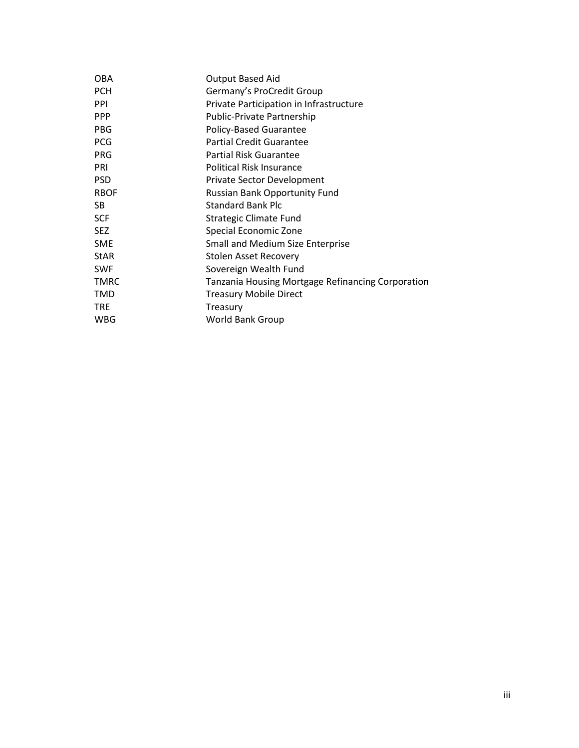| <b>OBA</b>  | <b>Output Based Aid</b>                           |  |  |
|-------------|---------------------------------------------------|--|--|
| <b>PCH</b>  | Germany's ProCredit Group                         |  |  |
| <b>PPI</b>  | Private Participation in Infrastructure           |  |  |
| <b>PPP</b>  | Public-Private Partnership                        |  |  |
| <b>PBG</b>  | Policy-Based Guarantee                            |  |  |
| <b>PCG</b>  | <b>Partial Credit Guarantee</b>                   |  |  |
| <b>PRG</b>  | Partial Risk Guarantee                            |  |  |
| PRI         | <b>Political Risk Insurance</b>                   |  |  |
| <b>PSD</b>  | <b>Private Sector Development</b>                 |  |  |
| <b>RBOF</b> | <b>Russian Bank Opportunity Fund</b>              |  |  |
| SB.         | <b>Standard Bank Plc</b>                          |  |  |
| <b>SCF</b>  | <b>Strategic Climate Fund</b>                     |  |  |
| <b>SEZ</b>  | Special Economic Zone                             |  |  |
| <b>SME</b>  | <b>Small and Medium Size Enterprise</b>           |  |  |
| <b>StAR</b> | Stolen Asset Recovery                             |  |  |
| <b>SWF</b>  | Sovereign Wealth Fund                             |  |  |
| <b>TMRC</b> | Tanzania Housing Mortgage Refinancing Corporation |  |  |
| TMD         | <b>Treasury Mobile Direct</b>                     |  |  |
| <b>TRE</b>  | Treasury                                          |  |  |
| WBG         | World Bank Group                                  |  |  |
|             |                                                   |  |  |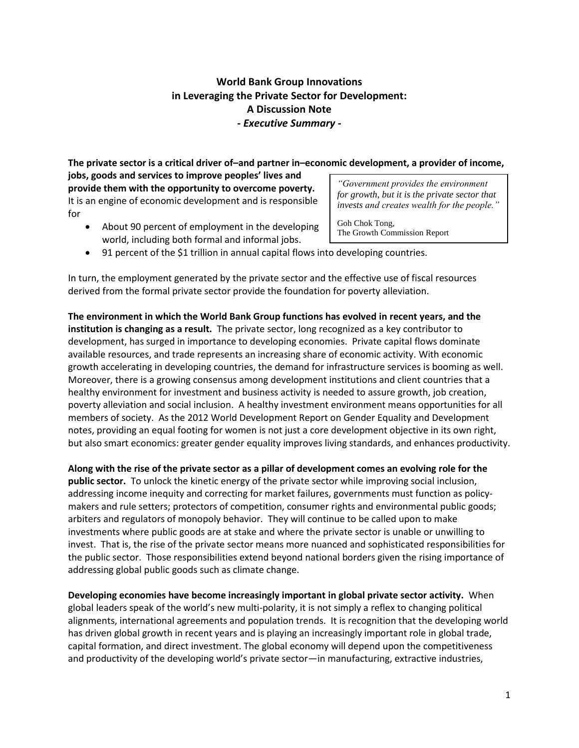# **World Bank Group Innovations in Leveraging the Private Sector for Development: A Discussion Note -** *Executive Summary* **-**

**The private sector is a critical driver of–and partner in–economic development, a provider of income, jobs, goods and services to improve peoples' lives and** 

**provide them with the opportunity to overcome poverty.** It is an engine of economic development and is responsible for

• About 90 percent of employment in the developing world, including both formal and informal jobs.

*"Government provides the environment for growth, but it is the private sector that invests and creates wealth for the people."*

Goh Chok Tong, The Growth Commission Report

91 percent of the \$1 trillion in annual capital flows into developing countries.

In turn, the employment generated by the private sector and the effective use of fiscal resources derived from the formal private sector provide the foundation for poverty alleviation.

**The environment in which the World Bank Group functions has evolved in recent years, and the institution is changing as a result.** The private sector, long recognized as a key contributor to development, has surged in importance to developing economies. Private capital flows dominate available resources, and trade represents an increasing share of economic activity. With economic growth accelerating in developing countries, the demand for infrastructure services is booming as well. Moreover, there is a growing consensus among development institutions and client countries that a healthy environment for investment and business activity is needed to assure growth, job creation, poverty alleviation and social inclusion. A healthy investment environment means opportunities for all members of society. As the 2012 World Development Report on Gender Equality and Development notes, providing an equal footing for women is not just a core development objective in its own right, but also smart economics: greater gender equality improves living standards, and enhances productivity.

**Along with the rise of the private sector as a pillar of development comes an evolving role for the public sector.** To unlock the kinetic energy of the private sector while improving social inclusion, addressing income inequity and correcting for market failures, governments must function as policymakers and rule setters; protectors of competition, consumer rights and environmental public goods; arbiters and regulators of monopoly behavior. They will continue to be called upon to make investments where public goods are at stake and where the private sector is unable or unwilling to invest. That is, the rise of the private sector means more nuanced and sophisticated responsibilities for the public sector. Those responsibilities extend beyond national borders given the rising importance of addressing global public goods such as climate change.

**Developing economies have become increasingly important in global private sector activity.** When global leaders speak of the world's new multi-polarity, it is not simply a reflex to changing political alignments, international agreements and population trends. It is recognition that the developing world has driven global growth in recent years and is playing an increasingly important role in global trade, capital formation, and direct investment. The global economy will depend upon the competitiveness and productivity of the developing world's private sector—in manufacturing, extractive industries,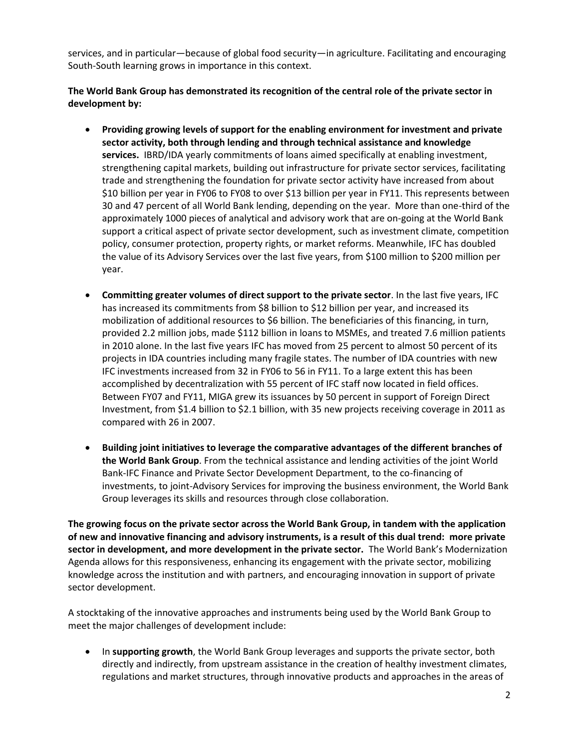services, and in particular—because of global food security—in agriculture. Facilitating and encouraging South-South learning grows in importance in this context.

## **The World Bank Group has demonstrated its recognition of the central role of the private sector in development by:**

- **Providing growing levels of support for the enabling environment for investment and private sector activity, both through lending and through technical assistance and knowledge services.** IBRD/IDA yearly commitments of loans aimed specifically at enabling investment, strengthening capital markets, building out infrastructure for private sector services, facilitating trade and strengthening the foundation for private sector activity have increased from about \$10 billion per year in FY06 to FY08 to over \$13 billion per year in FY11. This represents between 30 and 47 percent of all World Bank lending, depending on the year. More than one-third of the approximately 1000 pieces of analytical and advisory work that are on-going at the World Bank support a critical aspect of private sector development, such as investment climate, competition policy, consumer protection, property rights, or market reforms. Meanwhile, IFC has doubled the value of its Advisory Services over the last five years, from \$100 million to \$200 million per year.
- **Committing greater volumes of direct support to the private sector**. In the last five years, IFC has increased its commitments from \$8 billion to \$12 billion per year, and increased its mobilization of additional resources to \$6 billion. The beneficiaries of this financing, in turn, provided 2.2 million jobs, made \$112 billion in loans to MSMEs, and treated 7.6 million patients in 2010 alone. In the last five years IFC has moved from 25 percent to almost 50 percent of its projects in IDA countries including many fragile states. The number of IDA countries with new IFC investments increased from 32 in FY06 to 56 in FY11. To a large extent this has been accomplished by decentralization with 55 percent of IFC staff now located in field offices. Between FY07 and FY11, MIGA grew its issuances by 50 percent in support of Foreign Direct Investment, from \$1.4 billion to \$2.1 billion, with 35 new projects receiving coverage in 2011 as compared with 26 in 2007.
- **Building joint initiatives to leverage the comparative advantages of the different branches of the World Bank Group**. From the technical assistance and lending activities of the joint World Bank-IFC Finance and Private Sector Development Department, to the co-financing of investments, to joint-Advisory Services for improving the business environment, the World Bank Group leverages its skills and resources through close collaboration.

**The growing focus on the private sector across the World Bank Group, in tandem with the application of new and innovative financing and advisory instruments, is a result of this dual trend: more private sector in development, and more development in the private sector.** The World Bank's Modernization Agenda allows for this responsiveness, enhancing its engagement with the private sector, mobilizing knowledge across the institution and with partners, and encouraging innovation in support of private sector development.

A stocktaking of the innovative approaches and instruments being used by the World Bank Group to meet the major challenges of development include:

 In **supporting growth**, the World Bank Group leverages and supports the private sector, both directly and indirectly, from upstream assistance in the creation of healthy investment climates, regulations and market structures, through innovative products and approaches in the areas of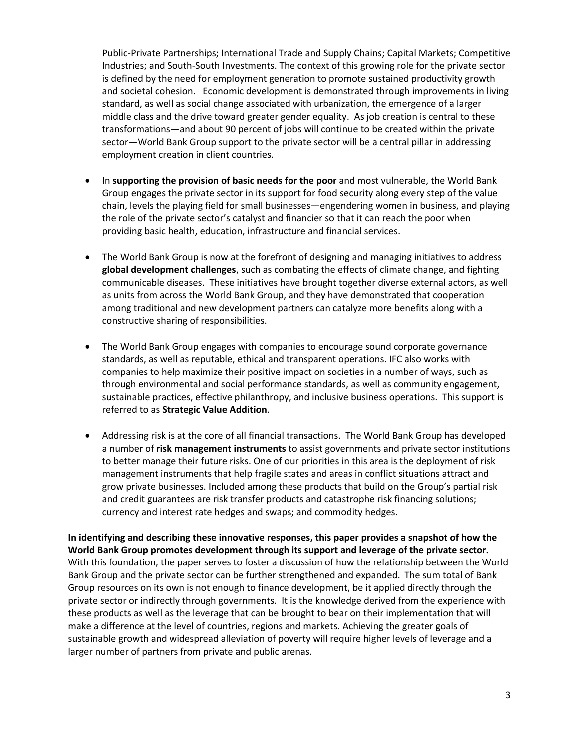Public-Private Partnerships; International Trade and Supply Chains; Capital Markets; Competitive Industries; and South-South Investments. The context of this growing role for the private sector is defined by the need for employment generation to promote sustained productivity growth and societal cohesion. Economic development is demonstrated through improvements in living standard, as well as social change associated with urbanization, the emergence of a larger middle class and the drive toward greater gender equality. As job creation is central to these transformations—and about 90 percent of jobs will continue to be created within the private sector—World Bank Group support to the private sector will be a central pillar in addressing employment creation in client countries.

- In **supporting the provision of basic needs for the poor** and most vulnerable, the World Bank Group engages the private sector in its support for food security along every step of the value chain, levels the playing field for small businesses—engendering women in business, and playing the role of the private sector's catalyst and financier so that it can reach the poor when providing basic health, education, infrastructure and financial services.
- The World Bank Group is now at the forefront of designing and managing initiatives to address **global development challenges**, such as combating the effects of climate change, and fighting communicable diseases. These initiatives have brought together diverse external actors, as well as units from across the World Bank Group, and they have demonstrated that cooperation among traditional and new development partners can catalyze more benefits along with a constructive sharing of responsibilities.
- The World Bank Group engages with companies to encourage sound corporate governance standards, as well as reputable, ethical and transparent operations. IFC also works with companies to help maximize their positive impact on societies in a number of ways, such as through environmental and social performance standards, as well as community engagement, sustainable practices, effective philanthropy, and inclusive business operations. This support is referred to as **Strategic Value Addition**.
- Addressing risk is at the core of all financial transactions. The World Bank Group has developed a number of **risk management instruments** to assist governments and private sector institutions to better manage their future risks. One of our priorities in this area is the deployment of risk management instruments that help fragile states and areas in conflict situations attract and grow private businesses. Included among these products that build on the Group's partial risk and credit guarantees are risk transfer products and catastrophe risk financing solutions; currency and interest rate hedges and swaps; and commodity hedges.

**In identifying and describing these innovative responses, this paper provides a snapshot of how the World Bank Group promotes development through its support and leverage of the private sector.** With this foundation, the paper serves to foster a discussion of how the relationship between the World Bank Group and the private sector can be further strengthened and expanded. The sum total of Bank Group resources on its own is not enough to finance development, be it applied directly through the private sector or indirectly through governments. It is the knowledge derived from the experience with these products as well as the leverage that can be brought to bear on their implementation that will make a difference at the level of countries, regions and markets. Achieving the greater goals of sustainable growth and widespread alleviation of poverty will require higher levels of leverage and a larger number of partners from private and public arenas.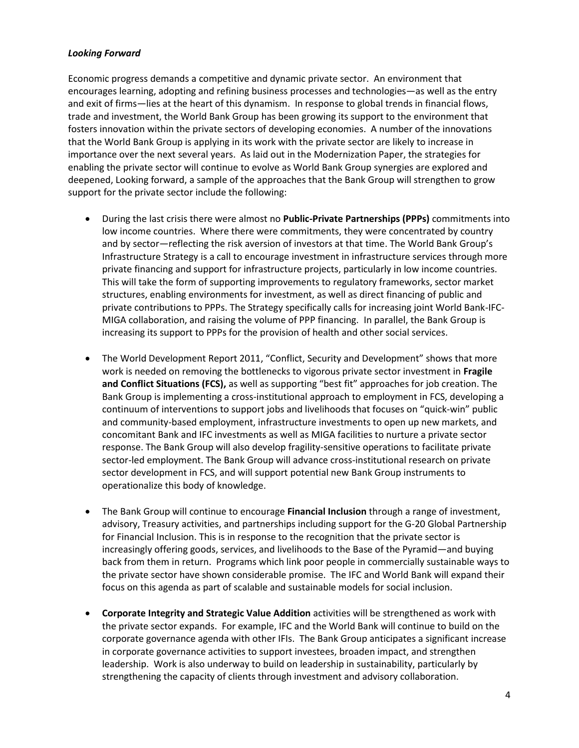#### *Looking Forward*

Economic progress demands a competitive and dynamic private sector. An environment that encourages learning, adopting and refining business processes and technologies—as well as the entry and exit of firms—lies at the heart of this dynamism. In response to global trends in financial flows, trade and investment, the World Bank Group has been growing its support to the environment that fosters innovation within the private sectors of developing economies. A number of the innovations that the World Bank Group is applying in its work with the private sector are likely to increase in importance over the next several years. As laid out in the Modernization Paper, the strategies for enabling the private sector will continue to evolve as World Bank Group synergies are explored and deepened, Looking forward, a sample of the approaches that the Bank Group will strengthen to grow support for the private sector include the following:

- During the last crisis there were almost no **Public-Private Partnerships (PPPs)** commitments into low income countries. Where there were commitments, they were concentrated by country and by sector—reflecting the risk aversion of investors at that time. The World Bank Group's Infrastructure Strategy is a call to encourage investment in infrastructure services through more private financing and support for infrastructure projects, particularly in low income countries. This will take the form of supporting improvements to regulatory frameworks, sector market structures, enabling environments for investment, as well as direct financing of public and private contributions to PPPs. The Strategy specifically calls for increasing joint World Bank-IFC-MIGA collaboration, and raising the volume of PPP financing. In parallel, the Bank Group is increasing its support to PPPs for the provision of health and other social services.
- The World Development Report 2011, "Conflict, Security and Development" shows that more work is needed on removing the bottlenecks to vigorous private sector investment in **Fragile and Conflict Situations (FCS),** as well as supporting "best fit" approaches for job creation. The Bank Group is implementing a cross-institutional approach to employment in FCS, developing a continuum of interventions to support jobs and livelihoods that focuses on "quick-win" public and community-based employment, infrastructure investments to open up new markets, and concomitant Bank and IFC investments as well as MIGA facilities to nurture a private sector response. The Bank Group will also develop fragility-sensitive operations to facilitate private sector-led employment. The Bank Group will advance cross-institutional research on private sector development in FCS, and will support potential new Bank Group instruments to operationalize this body of knowledge.
- The Bank Group will continue to encourage **Financial Inclusion** through a range of investment, advisory, Treasury activities, and partnerships including support for the G-20 Global Partnership for Financial Inclusion. This is in response to the recognition that the private sector is increasingly offering goods, services, and livelihoods to the Base of the Pyramid—and buying back from them in return. Programs which link poor people in commercially sustainable ways to the private sector have shown considerable promise. The IFC and World Bank will expand their focus on this agenda as part of scalable and sustainable models for social inclusion.
- **Corporate Integrity and Strategic Value Addition** activities will be strengthened as work with the private sector expands. For example, IFC and the World Bank will continue to build on the corporate governance agenda with other IFIs. The Bank Group anticipates a significant increase in corporate governance activities to support investees, broaden impact, and strengthen leadership. Work is also underway to build on leadership in sustainability, particularly by strengthening the capacity of clients through investment and advisory collaboration.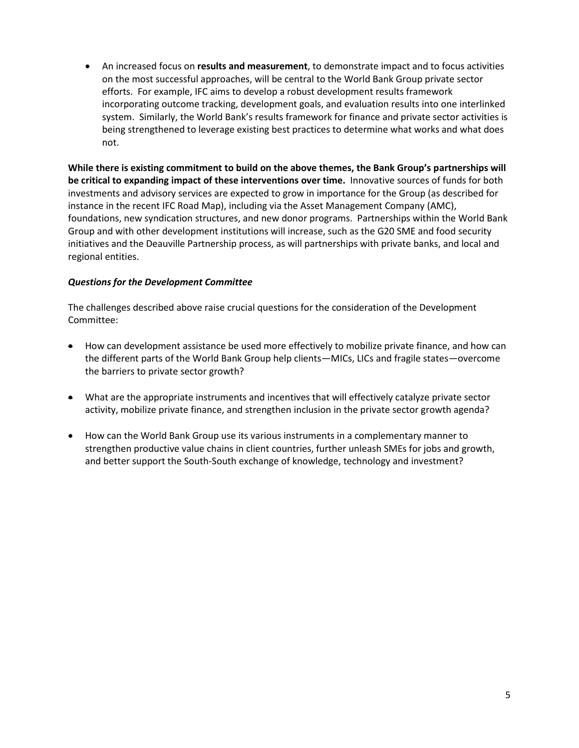An increased focus on **results and measurement**, to demonstrate impact and to focus activities on the most successful approaches, will be central to the World Bank Group private sector efforts. For example, IFC aims to develop a robust development results framework incorporating outcome tracking, development goals, and evaluation results into one interlinked system. Similarly, the World Bank's results framework for finance and private sector activities is being strengthened to leverage existing best practices to determine what works and what does not.

**While there is existing commitment to build on the above themes, the Bank Group's partnerships will be critical to expanding impact of these interventions over time.** Innovative sources of funds for both investments and advisory services are expected to grow in importance for the Group (as described for instance in the recent IFC Road Map), including via the Asset Management Company (AMC), foundations, new syndication structures, and new donor programs. Partnerships within the World Bank Group and with other development institutions will increase, such as the G20 SME and food security initiatives and the Deauville Partnership process, as will partnerships with private banks, and local and regional entities.

#### *Questions for the Development Committee*

The challenges described above raise crucial questions for the consideration of the Development Committee:

- How can development assistance be used more effectively to mobilize private finance, and how can the different parts of the World Bank Group help clients—MICs, LICs and fragile states—overcome the barriers to private sector growth?
- What are the appropriate instruments and incentives that will effectively catalyze private sector activity, mobilize private finance, and strengthen inclusion in the private sector growth agenda?
- How can the World Bank Group use its various instruments in a complementary manner to strengthen productive value chains in client countries, further unleash SMEs for jobs and growth, and better support the South-South exchange of knowledge, technology and investment?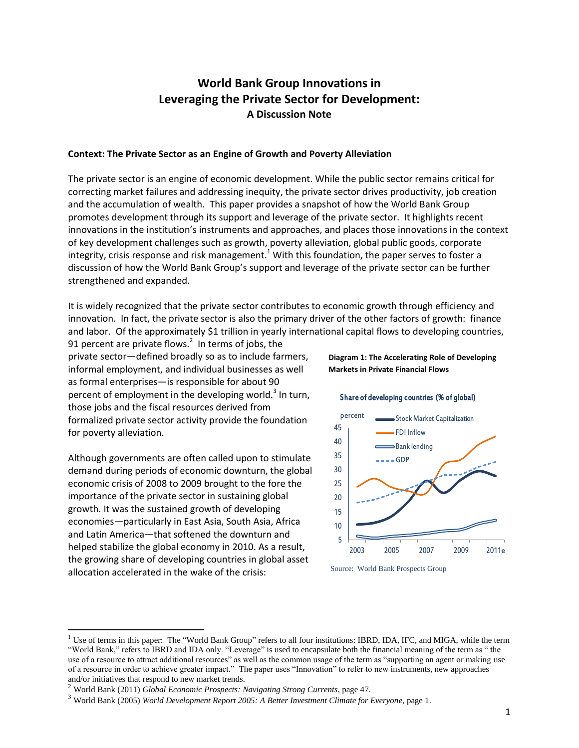# **World Bank Group Innovations in Leveraging the Private Sector for Development: A Discussion Note**

#### **Context: The Private Sector as an Engine of Growth and Poverty Alleviation**

The private sector is an engine of economic development. While the public sector remains critical for correcting market failures and addressing inequity, the private sector drives productivity, job creation and the accumulation of wealth. This paper provides a snapshot of how the World Bank Group promotes development through its support and leverage of the private sector. It highlights recent innovations in the institution's instruments and approaches, and places those innovations in the context of key development challenges such as growth, poverty alleviation, global public goods, corporate integrity, crisis response and risk management.<sup>1</sup> With this foundation, the paper serves to foster a discussion of how the World Bank Group's support and leverage of the private sector can be further strengthened and expanded.

It is widely recognized that the private sector contributes to economic growth through efficiency and innovation. In fact, the private sector is also the primary driver of the other factors of growth: finance and labor. Of the approximately \$1 trillion in yearly international capital flows to developing countries,

91 percent are private flows. $^2$  In terms of jobs, the private sector—defined broadly so as to include farmers, informal employment, and individual businesses as well as formal enterprises—is responsible for about 90 percent of employment in the developing world.<sup>3</sup> In turn, those jobs and the fiscal resources derived from formalized private sector activity provide the foundation for poverty alleviation.

Although governments are often called upon to stimulate demand during periods of economic downturn, the global economic crisis of 2008 to 2009 brought to the fore the importance of the private sector in sustaining global growth. It was the sustained growth of developing economies—particularly in East Asia, South Asia, Africa and Latin America—that softened the downturn and helped stabilize the global economy in 2010. As a result, the growing share of developing countries in global asset allocation accelerated in the wake of the crisis:

l

**Diagram 1: The Accelerating Role of Developing Markets in Private Financial Flows**

#### Share of developing countries (% of global)



Source: World Bank Prospects Group

 $<sup>1</sup>$  Use of terms in this paper: The "World Bank Group" refers to all four institutions: IBRD, IDA, IFC, and MIGA, while the term</sup> "World Bank," refers to IBRD and IDA only. "Leverage" is used to encapsulate both the financial meaning of the term as " the use of a resource to attract additional resources" as well as the common usage of the term as "supporting an agent or making use of a resource in order to achieve greater impact." The paper uses "Innovation" to refer to new instruments, new approaches and/or initiatives that respond to new market trends.

<sup>2</sup> World Bank (2011) *Global Economic Prospects: Navigating Strong Currents*, page 47.

<sup>3</sup> World Bank (2005) *World Development Report 2005: A Better Investment Climate for Everyone*, page 1.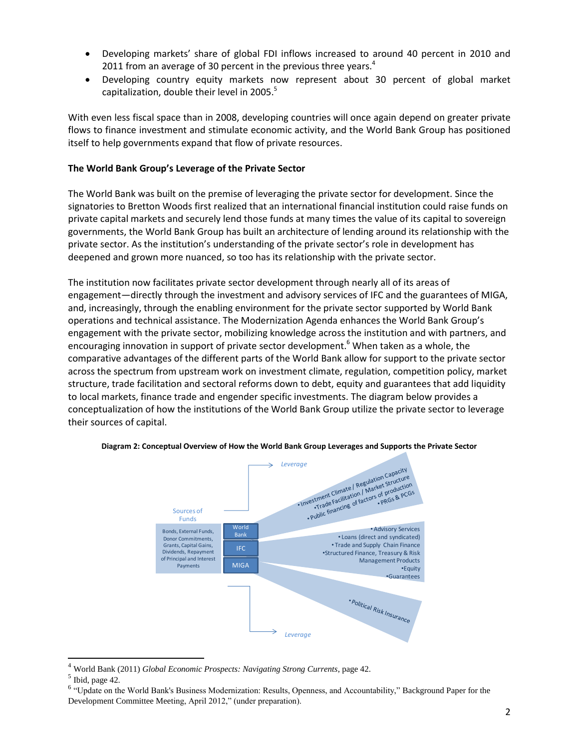- Developing markets' share of global FDI inflows increased to around 40 percent in 2010 and 2011 from an average of 30 percent in the previous three years. $4$
- Developing country equity markets now represent about 30 percent of global market capitalization, double their level in 2005. $^{5}$

With even less fiscal space than in 2008, developing countries will once again depend on greater private flows to finance investment and stimulate economic activity, and the World Bank Group has positioned itself to help governments expand that flow of private resources.

#### **The World Bank Group's Leverage of the Private Sector**

The World Bank was built on the premise of leveraging the private sector for development. Since the signatories to Bretton Woods first realized that an international financial institution could raise funds on private capital markets and securely lend those funds at many times the value of its capital to sovereign governments, the World Bank Group has built an architecture of lending around its relationship with the private sector. As the institution's understanding of the private sector's role in development has deepened and grown more nuanced, so too has its relationship with the private sector.

The institution now facilitates private sector development through nearly all of its areas of engagement—directly through the investment and advisory services of IFC and the guarantees of MIGA, and, increasingly, through the enabling environment for the private sector supported by World Bank operations and technical assistance. The Modernization Agenda enhances the World Bank Group's engagement with the private sector, mobilizing knowledge across the institution and with partners, and encouraging innovation in support of private sector development.<sup>6</sup> When taken as a whole, the comparative advantages of the different parts of the World Bank allow for support to the private sector across the spectrum from upstream work on investment climate, regulation, competition policy, market structure, trade facilitation and sectoral reforms down to debt, equity and guarantees that add liquidity to local markets, finance trade and engender specific investments. The diagram below provides a conceptualization of how the institutions of the World Bank Group utilize the private sector to leverage their sources of capital.



**Diagram 2: Conceptual Overview of How the World Bank Group Leverages and Supports the Private Sector**

 $\overline{a}$ 

<sup>4</sup> World Bank (2011) *Global Economic Prospects: Navigating Strong Currents*, page 42.

 $<sup>5</sup>$  Ibid, page 42.</sup>

<sup>&</sup>lt;sup>6</sup> "Update on the World Bank's Business Modernization: Results, Openness, and Accountability," Background Paper for the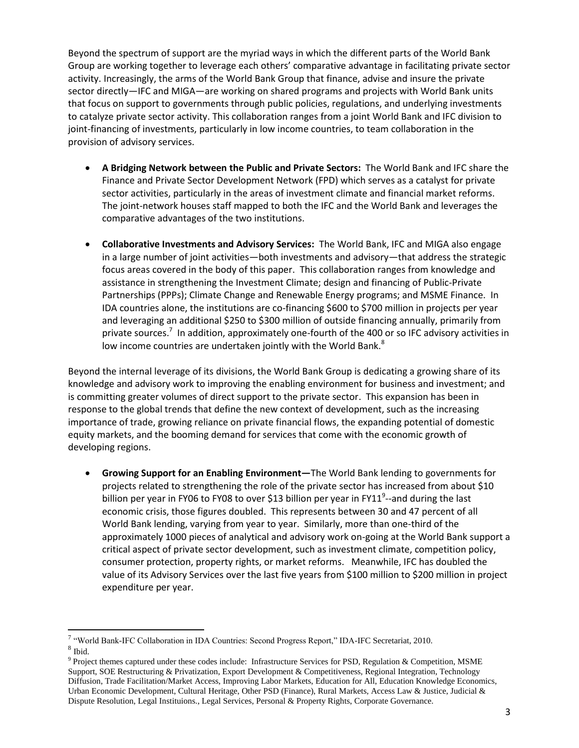Beyond the spectrum of support are the myriad ways in which the different parts of the World Bank Group are working together to leverage each others' comparative advantage in facilitating private sector activity. Increasingly, the arms of the World Bank Group that finance, advise and insure the private sector directly—IFC and MIGA—are working on shared programs and projects with World Bank units that focus on support to governments through public policies, regulations, and underlying investments to catalyze private sector activity. This collaboration ranges from a joint World Bank and IFC division to joint-financing of investments, particularly in low income countries, to team collaboration in the provision of advisory services.

- **A Bridging Network between the Public and Private Sectors:** The World Bank and IFC share the Finance and Private Sector Development Network (FPD) which serves as a catalyst for private sector activities, particularly in the areas of investment climate and financial market reforms. The joint-network houses staff mapped to both the IFC and the World Bank and leverages the comparative advantages of the two institutions.
- **Collaborative Investments and Advisory Services:** The World Bank, IFC and MIGA also engage in a large number of joint activities—both investments and advisory—that address the strategic focus areas covered in the body of this paper. This collaboration ranges from knowledge and assistance in strengthening the Investment Climate; design and financing of Public-Private Partnerships (PPPs); Climate Change and Renewable Energy programs; and MSME Finance. In IDA countries alone, the institutions are co-financing \$600 to \$700 million in projects per year and leveraging an additional \$250 to \$300 million of outside financing annually, primarily from private sources.<sup>7</sup> In addition, approximately one-fourth of the 400 or so IFC advisory activities in low income countries are undertaken jointly with the World Bank.<sup>8</sup>

Beyond the internal leverage of its divisions, the World Bank Group is dedicating a growing share of its knowledge and advisory work to improving the enabling environment for business and investment; and is committing greater volumes of direct support to the private sector. This expansion has been in response to the global trends that define the new context of development, such as the increasing importance of trade, growing reliance on private financial flows, the expanding potential of domestic equity markets, and the booming demand for services that come with the economic growth of developing regions.

 **Growing Support for an Enabling Environment—**The World Bank lending to governments for projects related to strengthening the role of the private sector has increased from about \$10 billion per year in FY06 to FY08 to over \$13 billion per year in FY11<sup>9</sup>--and during the last economic crisis, those figures doubled. This represents between 30 and 47 percent of all World Bank lending, varying from year to year. Similarly, more than one-third of the approximately 1000 pieces of analytical and advisory work on-going at the World Bank support a critical aspect of private sector development, such as investment climate, competition policy, consumer protection, property rights, or market reforms. Meanwhile, IFC has doubled the value of its Advisory Services over the last five years from \$100 million to \$200 million in project expenditure per year.

l

<sup>&</sup>lt;sup>7</sup> "World Bank-IFC Collaboration in IDA Countries: Second Progress Report," IDA-IFC Secretariat, 2010.

<sup>8</sup> Ibid.

<sup>&</sup>lt;sup>9</sup> Project themes captured under these codes include: Infrastructure Services for PSD, Regulation & Competition, MSME Support, SOE Restructuring & Privatization, Export Development & Competitiveness, Regional Integration, Technology Diffusion, Trade Facilitation/Market Access, Improving Labor Markets, Education for All, Education Knowledge Economics, Urban Economic Development, Cultural Heritage, Other PSD (Finance), Rural Markets, Access Law & Justice, Judicial & Dispute Resolution, Legal Instituions., Legal Services, Personal & Property Rights, Corporate Governance.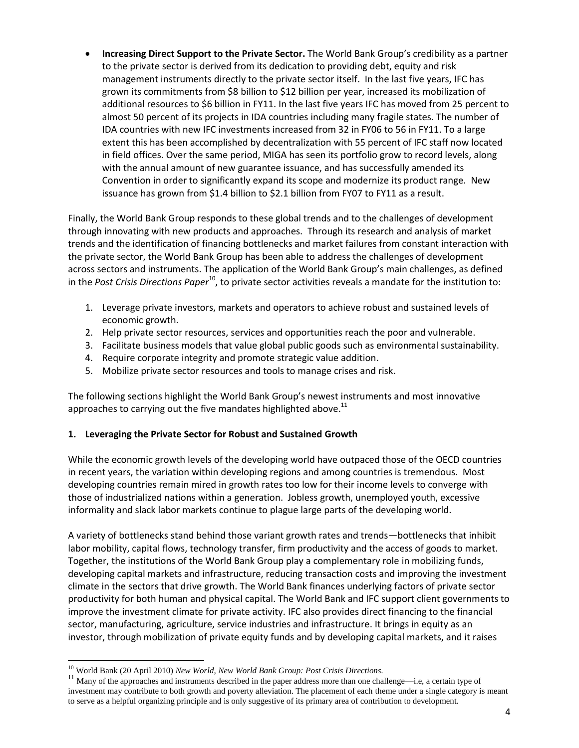**Increasing Direct Support to the Private Sector.** The World Bank Group's credibility as a partner to the private sector is derived from its dedication to providing debt, equity and risk management instruments directly to the private sector itself. In the last five years, IFC has grown its commitments from \$8 billion to \$12 billion per year, increased its mobilization of additional resources to \$6 billion in FY11. In the last five years IFC has moved from 25 percent to almost 50 percent of its projects in IDA countries including many fragile states. The number of IDA countries with new IFC investments increased from 32 in FY06 to 56 in FY11. To a large extent this has been accomplished by decentralization with 55 percent of IFC staff now located in field offices. Over the same period, MIGA has seen its portfolio grow to record levels, along with the annual amount of new guarantee issuance, and has successfully amended its Convention in order to significantly expand its scope and modernize its product range. New issuance has grown from \$1.4 billion to \$2.1 billion from FY07 to FY11 as a result.

Finally, the World Bank Group responds to these global trends and to the challenges of development through innovating with new products and approaches. Through its research and analysis of market trends and the identification of financing bottlenecks and market failures from constant interaction with the private sector, the World Bank Group has been able to address the challenges of development across sectors and instruments. The application of the World Bank Group's main challenges, as defined in the *Post Crisis Directions Paper*<sup>10</sup>, to private sector activities reveals a mandate for the institution to:

- 1. Leverage private investors, markets and operators to achieve robust and sustained levels of economic growth.
- 2. Help private sector resources, services and opportunities reach the poor and vulnerable.
- 3. Facilitate business models that value global public goods such as environmental sustainability.
- 4. Require corporate integrity and promote strategic value addition.
- 5. Mobilize private sector resources and tools to manage crises and risk.

The following sections highlight the World Bank Group's newest instruments and most innovative approaches to carrying out the five mandates highlighted above. $^{11}$ 

### **1. Leveraging the Private Sector for Robust and Sustained Growth**

While the economic growth levels of the developing world have outpaced those of the OECD countries in recent years, the variation within developing regions and among countries is tremendous. Most developing countries remain mired in growth rates too low for their income levels to converge with those of industrialized nations within a generation. Jobless growth, unemployed youth, excessive informality and slack labor markets continue to plague large parts of the developing world.

A variety of bottlenecks stand behind those variant growth rates and trends—bottlenecks that inhibit labor mobility, capital flows, technology transfer, firm productivity and the access of goods to market. Together, the institutions of the World Bank Group play a complementary role in mobilizing funds, developing capital markets and infrastructure, reducing transaction costs and improving the investment climate in the sectors that drive growth. The World Bank finances underlying factors of private sector productivity for both human and physical capital. The World Bank and IFC support client governments to improve the investment climate for private activity. IFC also provides direct financing to the financial sector, manufacturing, agriculture, service industries and infrastructure. It brings in equity as an investor, through mobilization of private equity funds and by developing capital markets, and it raises

l

<sup>10</sup> World Bank (20 April 2010) *New World, New World Bank Group: Post Crisis Directions.*

<sup>&</sup>lt;sup>11</sup> Many of the approaches and instruments described in the paper address more than one challenge—i.e, a certain type of investment may contribute to both growth and poverty alleviation. The placement of each theme under a single category is meant to serve as a helpful organizing principle and is only suggestive of its primary area of contribution to development.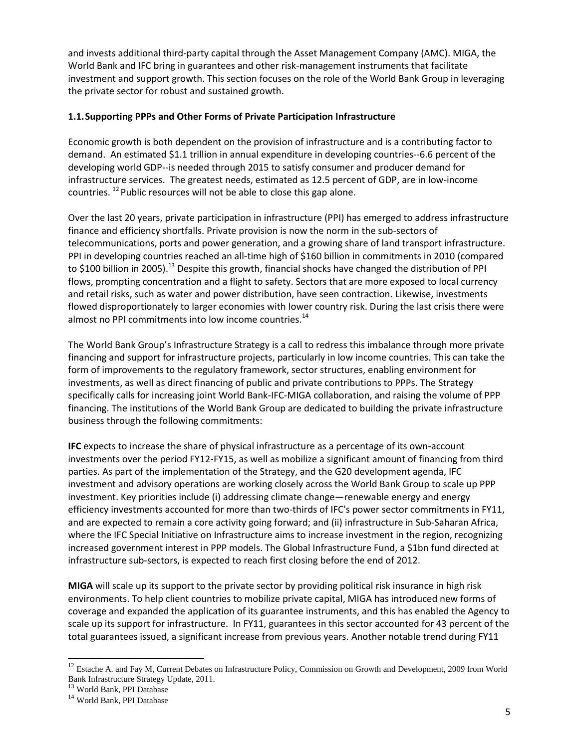and invests additional third-party capital through the Asset Management Company (AMC). MIGA, the World Bank and IFC bring in guarantees and other risk-management instruments that facilitate investment and support growth. This section focuses on the role of the World Bank Group in leveraging the private sector for robust and sustained growth.

#### **1.1.Supporting PPPs and Other Forms of Private Participation Infrastructure**

Economic growth is both dependent on the provision of infrastructure and is a contributing factor to demand. An estimated \$1.1 trillion in annual expenditure in developing countries--6.6 percent of the developing world GDP--is needed through 2015 to satisfy consumer and producer demand for infrastructure services. The greatest needs, estimated as 12.5 percent of GDP, are in low-income countries. <sup>12</sup> Public resources will not be able to close this gap alone.

Over the last 20 years, private participation in infrastructure (PPI) has emerged to address infrastructure finance and efficiency shortfalls. Private provision is now the norm in the sub-sectors of telecommunications, ports and power generation, and a growing share of land transport infrastructure. PPI in developing countries reached an all-time high of \$160 billion in commitments in 2010 (compared to \$100 billion in 2005).<sup>13</sup> Despite this growth, financial shocks have changed the distribution of PPI flows, prompting concentration and a flight to safety. Sectors that are more exposed to local currency and retail risks, such as water and power distribution, have seen contraction. Likewise, investments flowed disproportionately to larger economies with lower country risk. During the last crisis there were almost no PPI commitments into low income countries.<sup>14</sup>

The World Bank Group's Infrastructure Strategy is a call to redress this imbalance through more private financing and support for infrastructure projects, particularly in low income countries. This can take the form of improvements to the regulatory framework, sector structures, enabling environment for investments, as well as direct financing of public and private contributions to PPPs. The Strategy specifically calls for increasing joint World Bank-IFC-MIGA collaboration, and raising the volume of PPP financing. The institutions of the World Bank Group are dedicated to building the private infrastructure business through the following commitments:

**IFC** expects to increase the share of physical infrastructure as a percentage of its own-account investments over the period FY12-FY15, as well as mobilize a significant amount of financing from third parties. As part of the implementation of the Strategy, and the G20 development agenda, IFC investment and advisory operations are working closely across the World Bank Group to scale up PPP investment. Key priorities include (i) addressing climate change—renewable energy and energy efficiency investments accounted for more than two-thirds of IFC's power sector commitments in FY11, and are expected to remain a core activity going forward; and (ii) infrastructure in Sub-Saharan Africa, where the IFC Special Initiative on Infrastructure aims to increase investment in the region, recognizing increased government interest in PPP models. The Global Infrastructure Fund, a \$1bn fund directed at infrastructure sub-sectors, is expected to reach first closing before the end of 2012.

**MIGA** will scale up its support to the private sector by providing political risk insurance in high risk environments. To help client countries to mobilize private capital, MIGA has introduced new forms of coverage and expanded the application of its guarantee instruments, and this has enabled the Agency to scale up its support for infrastructure. In FY11, guarantees in this sector accounted for 43 percent of the total guarantees issued, a significant increase from previous years. Another notable trend during FY11

 $\overline{a}$ 

<sup>&</sup>lt;sup>12</sup> Estache A. and Fay M, Current Debates on Infrastructure Policy, Commission on Growth and Development, 2009 from World Bank Infrastructure Strategy Update, 2011.

<sup>&</sup>lt;sup>13</sup> World Bank, PPI Database

<sup>&</sup>lt;sup>14</sup> World Bank, PPI Database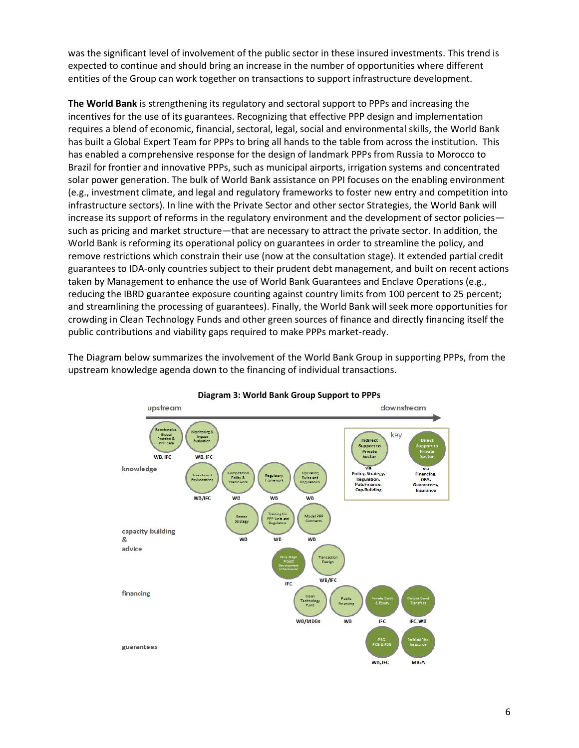was the significant level of involvement of the public sector in these insured investments. This trend is expected to continue and should bring an increase in the number of opportunities where different entities of the Group can work together on transactions to support infrastructure development.

**The World Bank** is strengthening its regulatory and sectoral support to PPPs and increasing the incentives for the use of its guarantees. Recognizing that effective PPP design and implementation requires a blend of economic, financial, sectoral, legal, social and environmental skills, the World Bank has built a Global Expert Team for PPPs to bring all hands to the table from across the institution. This has enabled a comprehensive response for the design of landmark PPPs from Russia to Morocco to Brazil for frontier and innovative PPPs, such as municipal airports, irrigation systems and concentrated solar power generation. The bulk of World Bank assistance on PPI focuses on the enabling environment (e.g., investment climate, and legal and regulatory frameworks to foster new entry and competition into infrastructure sectors). In line with the Private Sector and other sector Strategies, the World Bank will increase its support of reforms in the regulatory environment and the development of sector policies such as pricing and market structure—that are necessary to attract the private sector. In addition, the World Bank is reforming its operational policy on guarantees in order to streamline the policy, and remove restrictions which constrain their use (now at the consultation stage). It extended partial credit guarantees to IDA-only countries subject to their prudent debt management, and built on recent actions taken by Management to enhance the use of World Bank Guarantees and Enclave Operations (e.g., reducing the IBRD guarantee exposure counting against country limits from 100 percent to 25 percent; and streamlining the processing of guarantees). Finally, the World Bank will seek more opportunities for crowding in Clean Technology Funds and other green sources of finance and directly financing itself the public contributions and viability gaps required to make PPPs market-ready.

The Diagram below summarizes the involvement of the World Bank Group in supporting PPPs, from the upstream knowledge agenda down to the financing of individual transactions.



**Diagram 3: World Bank Group Support to PPPs**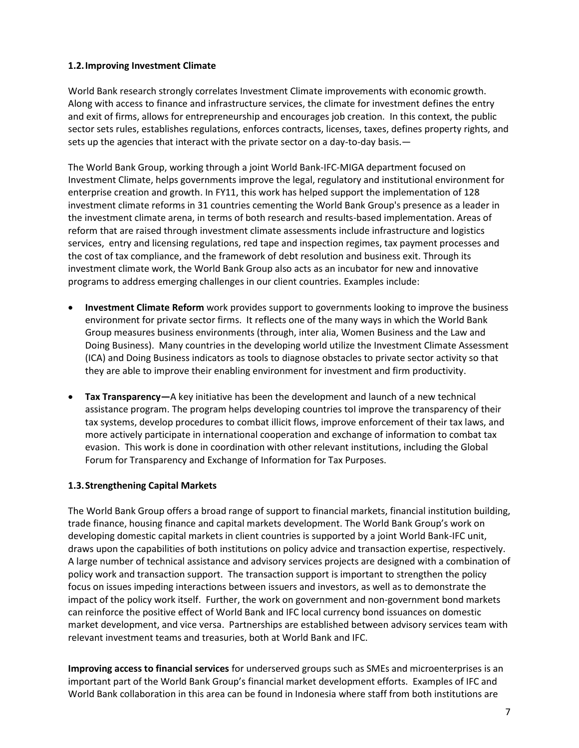#### **1.2.Improving Investment Climate**

World Bank research strongly correlates Investment Climate improvements with economic growth. Along with access to finance and infrastructure services, the climate for investment defines the entry and exit of firms, allows for entrepreneurship and encourages job creation. In this context, the public sector sets rules, establishes regulations, enforces contracts, licenses, taxes, defines property rights, and sets up the agencies that interact with the private sector on a day-to-day basis.—

The World Bank Group, working through a joint World Bank-IFC-MIGA department focused on Investment Climate, helps governments improve the legal, regulatory and institutional environment for enterprise creation and growth. In FY11, this work has helped support the implementation of 128 investment climate reforms in 31 countries cementing the World Bank Group's presence as a leader in the investment climate arena, in terms of both research and results-based implementation. Areas of reform that are raised through investment climate assessments include infrastructure and logistics services, entry and licensing regulations, red tape and inspection regimes, tax payment processes and the cost of tax compliance, and the framework of debt resolution and business exit. Through its investment climate work, the World Bank Group also acts as an incubator for new and innovative programs to address emerging challenges in our client countries. Examples include:

- **Investment Climate Reform** work provides support to governments looking to improve the business environment for private sector firms. It reflects one of the many ways in which the World Bank Group measures business environments (through, inter alia, Women Business and the Law and Doing Business). Many countries in the developing world utilize the Investment Climate Assessment (ICA) and Doing Business indicators as tools to diagnose obstacles to private sector activity so that they are able to improve their enabling environment for investment and firm productivity.
- **Tax Transparency—**A key initiative has been the development and launch of a new technical assistance program. The program helps developing countries toI improve the transparency of their tax systems, develop procedures to combat illicit flows, improve enforcement of their tax laws, and more actively participate in international cooperation and exchange of information to combat tax evasion. This work is done in coordination with other relevant institutions, including the Global Forum for Transparency and Exchange of Information for Tax Purposes.

### **1.3.Strengthening Capital Markets**

The World Bank Group offers a broad range of support to financial markets, financial institution building, trade finance, housing finance and capital markets development. The World Bank Group's work on developing domestic capital markets in client countries is supported by a joint World Bank-IFC unit, draws upon the capabilities of both institutions on policy advice and transaction expertise, respectively. A large number of technical assistance and advisory services projects are designed with a combination of policy work and transaction support. The transaction support is important to strengthen the policy focus on issues impeding interactions between issuers and investors, as well as to demonstrate the impact of the policy work itself. Further, the work on government and non-government bond markets can reinforce the positive effect of World Bank and IFC local currency bond issuances on domestic market development, and vice versa. Partnerships are established between advisory services team with relevant investment teams and treasuries, both at World Bank and IFC.

**Improving access to financial services** for underserved groups such as SMEs and microenterprises is an important part of the World Bank Group's financial market development efforts. Examples of IFC and World Bank collaboration in this area can be found in Indonesia where staff from both institutions are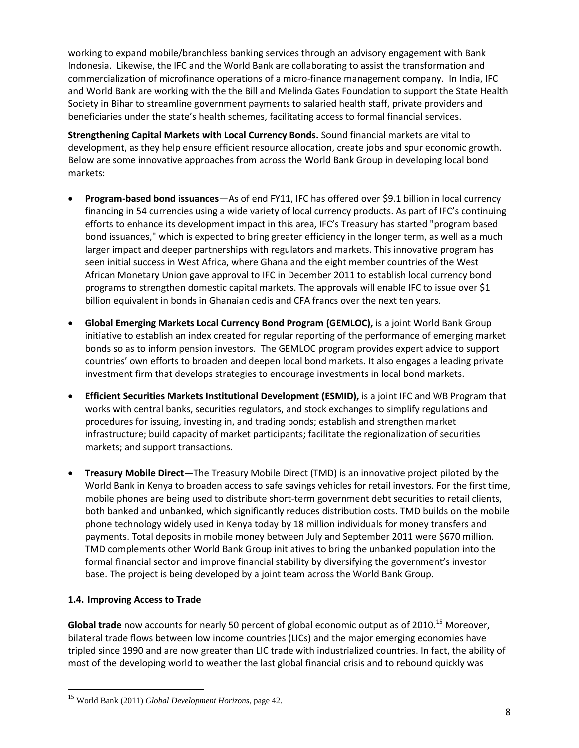working to expand mobile/branchless banking services through an advisory engagement with Bank Indonesia. Likewise, the IFC and the World Bank are collaborating to assist the transformation and commercialization of microfinance operations of a micro-finance management company. In India, IFC and World Bank are working with the the Bill and Melinda Gates Foundation to support the State Health Society in Bihar to streamline government payments to salaried health staff, private providers and beneficiaries under the state's health schemes, facilitating access to formal financial services.

**Strengthening Capital Markets with Local Currency Bonds.** Sound financial markets are vital to development, as they help ensure efficient resource allocation, create jobs and spur economic growth. Below are some innovative approaches from across the World Bank Group in developing local bond markets:

- **Program-based bond issuances**—As of end FY11, IFC has offered over \$9.1 billion in local currency financing in 54 currencies using a wide variety of local currency products. As part of IFC's continuing efforts to enhance its development impact in this area, IFC's Treasury has started "program based bond issuances," which is expected to bring greater efficiency in the longer term, as well as a much larger impact and deeper partnerships with regulators and markets. This innovative program has seen initial success in West Africa, where Ghana and the eight member countries of the West African Monetary Union gave approval to IFC in December 2011 to establish local currency bond programs to strengthen domestic capital markets. The approvals will enable IFC to issue over \$1 billion equivalent in bonds in Ghanaian cedis and CFA francs over the next ten years.
- **Global Emerging Markets Local Currency Bond Program (GEMLOC),** is a joint World Bank Group initiative to establish an index created for regular reporting of the performance of emerging market bonds so as to inform pension investors. The GEMLOC program provides expert advice to support countries' own efforts to broaden and deepen local bond markets. It also engages a leading private investment firm that develops strategies to encourage investments in local bond markets.
- **Efficient Securities Markets Institutional Development (ESMID),** is a joint IFC and WB Program that works with central banks, securities regulators, and stock exchanges to simplify regulations and procedures for issuing, investing in, and trading bonds; establish and strengthen market infrastructure; build capacity of market participants; facilitate the regionalization of securities markets; and support transactions.
- **Treasury Mobile Direct**—The Treasury Mobile Direct (TMD) is an innovative project piloted by the World Bank in Kenya to broaden access to safe savings vehicles for retail investors. For the first time, mobile phones are being used to distribute short-term government debt securities to retail clients, both banked and unbanked, which significantly reduces distribution costs. TMD builds on the mobile phone technology widely used in Kenya today by 18 million individuals for money transfers and payments. Total deposits in mobile money between July and September 2011 were \$670 million. TMD complements other World Bank Group initiatives to bring the unbanked population into the formal financial sector and improve financial stability by diversifying the government's investor base. The project is being developed by a joint team across the World Bank Group.

### **1.4. Improving Access to Trade**

 $\overline{\phantom{a}}$ 

**Global trade** now accounts for nearly 50 percent of global economic output as of 2010.<sup>15</sup> Moreover, bilateral trade flows between low income countries (LICs) and the major emerging economies have tripled since 1990 and are now greater than LIC trade with industrialized countries. In fact, the ability of most of the developing world to weather the last global financial crisis and to rebound quickly was

<sup>15</sup> World Bank (2011) *Global Development Horizons*, page 42.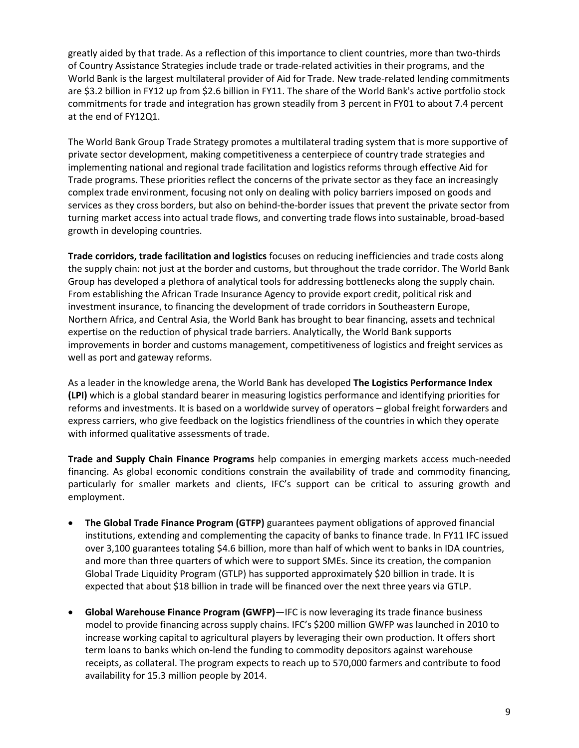greatly aided by that trade. As a reflection of this importance to client countries, more than two-thirds of Country Assistance Strategies include trade or trade-related activities in their programs, and the World Bank is the largest multilateral provider of Aid for Trade. New trade-related lending commitments are \$3.2 billion in FY12 up from \$2.6 billion in FY11. The share of the World Bank's active portfolio stock commitments for trade and integration has grown steadily from 3 percent in FY01 to about 7.4 percent at the end of FY12Q1.

The World Bank Group Trade Strategy promotes a multilateral trading system that is more supportive of private sector development, making competitiveness a centerpiece of country trade strategies and implementing national and regional trade facilitation and logistics reforms through effective Aid for Trade programs. These priorities reflect the concerns of the private sector as they face an increasingly complex trade environment, focusing not only on dealing with policy barriers imposed on goods and services as they cross borders, but also on behind-the-border issues that prevent the private sector from turning market access into actual trade flows, and converting trade flows into sustainable, broad-based growth in developing countries.

**Trade corridors, trade facilitation and logistics** focuses on reducing inefficiencies and trade costs along the supply chain: not just at the border and customs, but throughout the trade corridor. The World Bank Group has developed a plethora of analytical tools for addressing bottlenecks along the supply chain. From establishing the African Trade Insurance Agency to provide export credit, political risk and investment insurance, to financing the development of trade corridors in Southeastern Europe, Northern Africa, and Central Asia, the World Bank has brought to bear financing, assets and technical expertise on the reduction of physical trade barriers. Analytically, the World Bank supports improvements in border and customs management, competitiveness of logistics and freight services as well as port and gateway reforms.

As a leader in the knowledge arena, the World Bank has developed **The Logistics Performance Index (LPI)** which is a global standard bearer in measuring logistics performance and identifying priorities for reforms and investments. It is based on a worldwide survey of operators – global freight forwarders and express carriers, who give feedback on the logistics friendliness of the countries in which they operate with informed qualitative assessments of trade.

**Trade and Supply Chain Finance Programs** help companies in emerging markets access much-needed financing. As global economic conditions constrain the availability of trade and commodity financing, particularly for smaller markets and clients, IFC's support can be critical to assuring growth and employment.

- **The Global Trade Finance Program (GTFP)** guarantees payment obligations of approved financial institutions, extending and complementing the capacity of banks to finance trade. In FY11 IFC issued over 3,100 guarantees totaling \$4.6 billion, more than half of which went to banks in IDA countries, and more than three quarters of which were to support SMEs. Since its creation, the companion Global Trade Liquidity Program (GTLP) has supported approximately \$20 billion in trade. It is expected that about \$18 billion in trade will be financed over the next three years via GTLP.
- **Global Warehouse Finance Program (GWFP)**—IFC is now leveraging its trade finance business model to provide financing across supply chains. IFC's \$200 million GWFP was launched in 2010 to increase working capital to agricultural players by leveraging their own production. It offers short term loans to banks which on-lend the funding to commodity depositors against warehouse receipts, as collateral. The program expects to reach up to 570,000 farmers and contribute to food availability for 15.3 million people by 2014.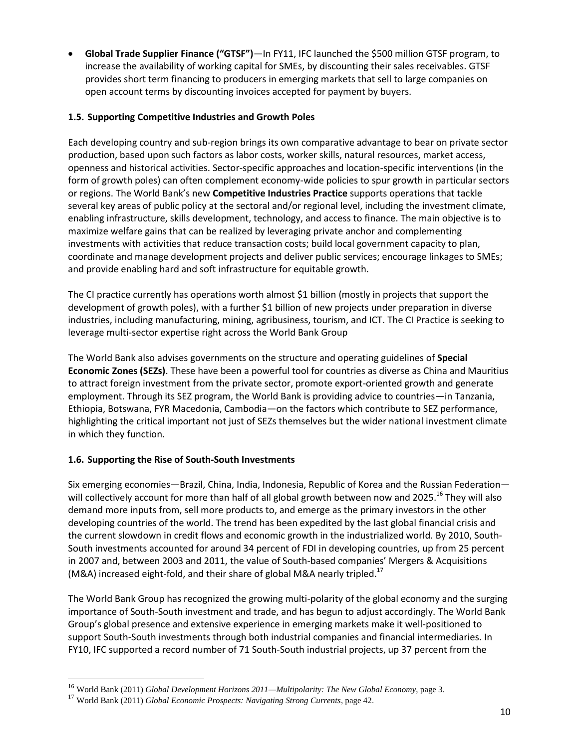**Global Trade Supplier Finance ("GTSF")**—In FY11, IFC launched the \$500 million GTSF program, to increase the availability of working capital for SMEs, by discounting their sales receivables. GTSF provides short term financing to producers in emerging markets that sell to large companies on open account terms by discounting invoices accepted for payment by buyers.

#### **1.5. Supporting Competitive Industries and Growth Poles**

Each developing country and sub-region brings its own comparative advantage to bear on private sector production, based upon such factors as labor costs, worker skills, natural resources, market access, openness and historical activities. Sector-specific approaches and location-specific interventions (in the form of growth poles) can often complement economy-wide policies to spur growth in particular sectors or regions. The World Bank's new **Competitive Industries Practice** supports operations that tackle several key areas of public policy at the sectoral and/or regional level, including the investment climate, enabling infrastructure, skills development, technology, and access to finance. The main objective is to maximize welfare gains that can be realized by leveraging private anchor and complementing investments with activities that reduce transaction costs; build local government capacity to plan, coordinate and manage development projects and deliver public services; encourage linkages to SMEs; and provide enabling hard and soft infrastructure for equitable growth.

The CI practice currently has operations worth almost \$1 billion (mostly in projects that support the development of growth poles), with a further \$1 billion of new projects under preparation in diverse industries, including manufacturing, mining, agribusiness, tourism, and ICT. The CI Practice is seeking to leverage multi-sector expertise right across the World Bank Group

The World Bank also advises governments on the structure and operating guidelines of **Special Economic Zones (SEZs)**. These have been a powerful tool for countries as diverse as China and Mauritius to attract foreign investment from the private sector, promote export-oriented growth and generate employment. Through its SEZ program, the World Bank is providing advice to countries—in Tanzania, Ethiopia, Botswana, FYR Macedonia, Cambodia—on the factors which contribute to SEZ performance, highlighting the critical important not just of SEZs themselves but the wider national investment climate in which they function.

### **1.6. Supporting the Rise of South-South Investments**

Six emerging economies—Brazil, China, India, Indonesia, Republic of Korea and the Russian Federation will collectively account for more than half of all global growth between now and 2025.<sup>16</sup> They will also demand more inputs from, sell more products to, and emerge as the primary investors in the other developing countries of the world. The trend has been expedited by the last global financial crisis and the current slowdown in credit flows and economic growth in the industrialized world. By 2010, South-South investments accounted for around 34 percent of FDI in developing countries, up from 25 percent in 2007 and, between 2003 and 2011, the value of South-based companies' Mergers & Acquisitions (M&A) increased eight-fold, and their share of global M&A nearly tripled.<sup>17</sup>

The World Bank Group has recognized the growing multi-polarity of the global economy and the surging importance of South-South investment and trade, and has begun to adjust accordingly. The World Bank Group's global presence and extensive experience in emerging markets make it well-positioned to support South-South investments through both industrial companies and financial intermediaries. In FY10, IFC supported a record number of 71 South-South industrial projects, up 37 percent from the

 $\overline{\phantom{a}}$ 

<sup>16</sup> World Bank (2011) *Global Development Horizons 2011—Multipolarity: The New Global Economy*, page 3.

<sup>17</sup> World Bank (2011) *Global Economic Prospects: Navigating Strong Currents*, page 42.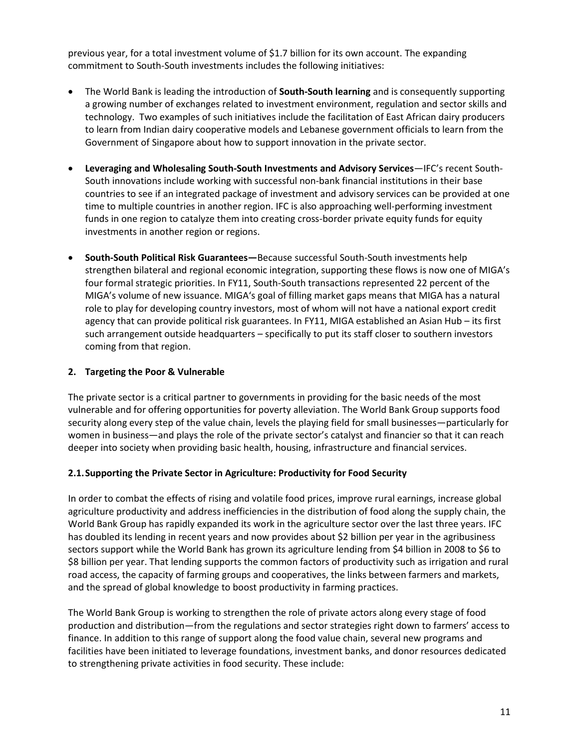previous year, for a total investment volume of \$1.7 billion for its own account. The expanding commitment to South-South investments includes the following initiatives:

- The World Bank is leading the introduction of **South-South learning** and is consequently supporting a growing number of exchanges related to investment environment, regulation and sector skills and technology. Two examples of such initiatives include the facilitation of East African dairy producers to learn from Indian dairy cooperative models and Lebanese government officials to learn from the Government of Singapore about how to support innovation in the private sector.
- **Leveraging and Wholesaling South-South Investments and Advisory Services**—IFC's recent South-South innovations include working with successful non-bank financial institutions in their base countries to see if an integrated package of investment and advisory services can be provided at one time to multiple countries in another region. IFC is also approaching well-performing investment funds in one region to catalyze them into creating cross-border private equity funds for equity investments in another region or regions.
- **South-South Political Risk Guarantees—**Because successful South-South investments help strengthen bilateral and regional economic integration, supporting these flows is now one of MIGA's four formal strategic priorities. In FY11, South-South transactions represented 22 percent of the MIGA's volume of new issuance. MIGA's goal of filling market gaps means that MIGA has a natural role to play for developing country investors, most of whom will not have a national export credit agency that can provide political risk guarantees. In FY11, MIGA established an Asian Hub – its first such arrangement outside headquarters – specifically to put its staff closer to southern investors coming from that region.

#### **2. Targeting the Poor & Vulnerable**

The private sector is a critical partner to governments in providing for the basic needs of the most vulnerable and for offering opportunities for poverty alleviation. The World Bank Group supports food security along every step of the value chain, levels the playing field for small businesses—particularly for women in business—and plays the role of the private sector's catalyst and financier so that it can reach deeper into society when providing basic health, housing, infrastructure and financial services.

#### **2.1.Supporting the Private Sector in Agriculture: Productivity for Food Security**

In order to combat the effects of rising and volatile food prices, improve rural earnings, increase global agriculture productivity and address inefficiencies in the distribution of food along the supply chain, the World Bank Group has rapidly expanded its work in the agriculture sector over the last three years. IFC has doubled its lending in recent years and now provides about \$2 billion per year in the agribusiness sectors support while the World Bank has grown its agriculture lending from \$4 billion in 2008 to \$6 to \$8 billion per year. That lending supports the common factors of productivity such as irrigation and rural road access, the capacity of farming groups and cooperatives, the links between farmers and markets, and the spread of global knowledge to boost productivity in farming practices.

The World Bank Group is working to strengthen the role of private actors along every stage of food production and distribution—from the regulations and sector strategies right down to farmers' access to finance. In addition to this range of support along the food value chain, several new programs and facilities have been initiated to leverage foundations, investment banks, and donor resources dedicated to strengthening private activities in food security. These include: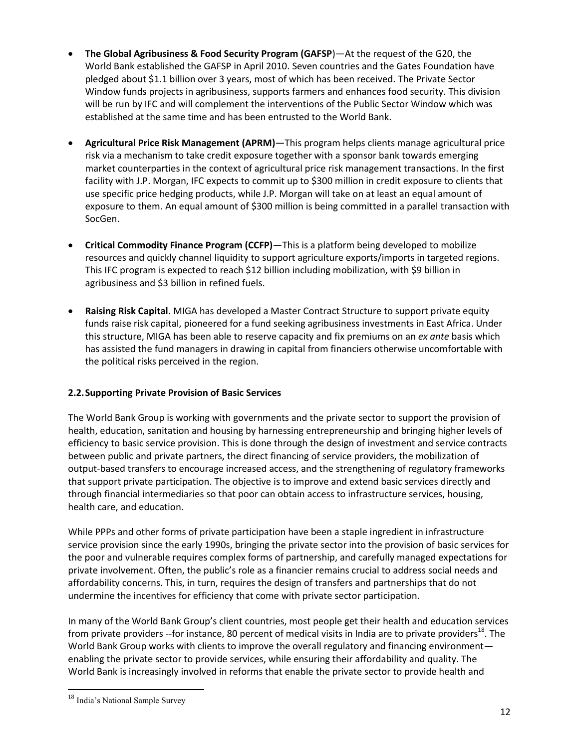- **The Global Agribusiness & Food Security Program (GAFSP**)—At the request of the G20, the World Bank established the GAFSP in April 2010. Seven countries and the Gates Foundation have pledged about \$1.1 billion over 3 years, most of which has been received. The Private Sector Window funds projects in agribusiness, supports farmers and enhances food security. This division will be run by IFC and will complement the interventions of the Public Sector Window which was established at the same time and has been entrusted to the World Bank.
- **Agricultural Price Risk Management (APRM)**—This program helps clients manage agricultural price risk via a mechanism to take credit exposure together with a sponsor bank towards emerging market counterparties in the context of agricultural price risk management transactions. In the first facility with J.P. Morgan, IFC expects to commit up to \$300 million in credit exposure to clients that use specific price hedging products, while J.P. Morgan will take on at least an equal amount of exposure to them. An equal amount of \$300 million is being committed in a parallel transaction with SocGen.
- **Critical Commodity Finance Program (CCFP)**—This is a platform being developed to mobilize resources and quickly channel liquidity to support agriculture exports/imports in targeted regions. This IFC program is expected to reach \$12 billion including mobilization, with \$9 billion in agribusiness and \$3 billion in refined fuels.
- **Raising Risk Capital**. MIGA has developed a Master Contract Structure to support private equity funds raise risk capital, pioneered for a fund seeking agribusiness investments in East Africa. Under this structure, MIGA has been able to reserve capacity and fix premiums on an *ex ante* basis which has assisted the fund managers in drawing in capital from financiers otherwise uncomfortable with the political risks perceived in the region.

### **2.2.Supporting Private Provision of Basic Services**

The World Bank Group is working with governments and the private sector to support the provision of health, education, sanitation and housing by harnessing entrepreneurship and bringing higher levels of efficiency to basic service provision. This is done through the design of investment and service contracts between public and private partners, the direct financing of service providers, the mobilization of output-based transfers to encourage increased access, and the strengthening of regulatory frameworks that support private participation. The objective is to improve and extend basic services directly and through financial intermediaries so that poor can obtain access to infrastructure services, housing, health care, and education.

While PPPs and other forms of private participation have been a staple ingredient in infrastructure service provision since the early 1990s, bringing the private sector into the provision of basic services for the poor and vulnerable requires complex forms of partnership, and carefully managed expectations for private involvement. Often, the public's role as a financier remains crucial to address social needs and affordability concerns. This, in turn, requires the design of transfers and partnerships that do not undermine the incentives for efficiency that come with private sector participation.

In many of the World Bank Group's client countries, most people get their health and education services from private providers --for instance, 80 percent of medical visits in India are to private providers<sup>18</sup>. The World Bank Group works with clients to improve the overall regulatory and financing environment enabling the private sector to provide services, while ensuring their affordability and quality. The World Bank is increasingly involved in reforms that enable the private sector to provide health and

 $\overline{\phantom{a}}$ 

<sup>&</sup>lt;sup>18</sup> India's National Sample Survey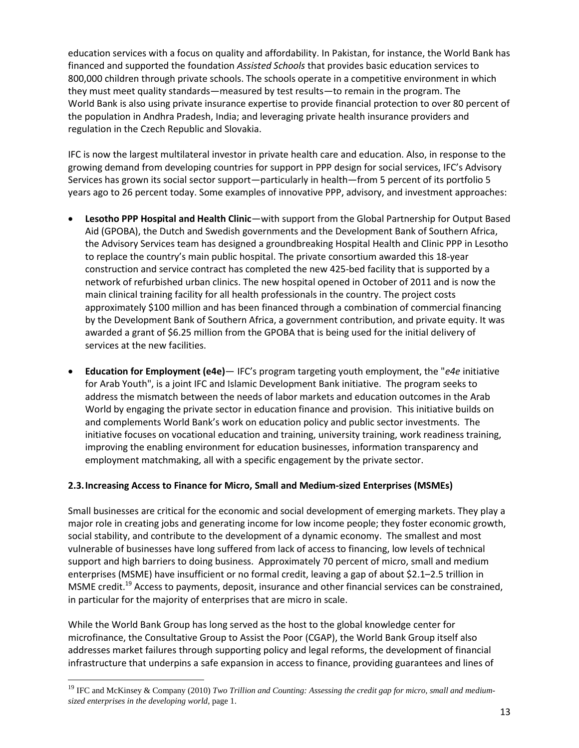education services with a focus on quality and affordability. In Pakistan, for instance, the World Bank has financed and supported the foundation *Assisted Schools* that provides basic education services to 800,000 children through private schools. The schools operate in a competitive environment in which they must meet quality standards—measured by test results—to remain in the program. The World Bank is also using private insurance expertise to provide financial protection to over 80 percent of the population in Andhra Pradesh, India; and leveraging private health insurance providers and regulation in the Czech Republic and Slovakia.

IFC is now the largest multilateral investor in private health care and education. Also, in response to the growing demand from developing countries for support in PPP design for social services, IFC's Advisory Services has grown its social sector support—particularly in health—from 5 percent of its portfolio 5 years ago to 26 percent today. Some examples of innovative PPP, advisory, and investment approaches:

- **Lesotho PPP Hospital and Health Clinic**—with support from the Global Partnership for Output Based Aid (GPOBA), the Dutch and Swedish governments and the Development Bank of Southern Africa, the Advisory Services team has designed a groundbreaking Hospital Health and Clinic PPP in Lesotho to replace the country's main public hospital. The private consortium awarded this 18-year construction and service contract has completed the new 425-bed facility that is supported by a network of refurbished urban clinics. The new hospital opened in October of 2011 and is now the main clinical training facility for all health professionals in the country. The project costs approximately \$100 million and has been financed through a combination of commercial financing by the Development Bank of Southern Africa, a government contribution, and private equity. It was awarded a grant of \$6.25 million from the GPOBA that is being used for the initial delivery of services at the new facilities.
- **Education for Employment (e4e)** IFC's program targeting youth employment, the "*e4e* initiative for Arab Youth", is a joint IFC and Islamic Development Bank initiative. The program seeks to address the mismatch between the needs of labor markets and education outcomes in the Arab World by engaging the private sector in education finance and provision. This initiative builds on and complements World Bank's work on education policy and public sector investments. The initiative focuses on vocational education and training, university training, work readiness training, improving the enabling environment for education businesses, information transparency and employment matchmaking, all with a specific engagement by the private sector.

### **2.3.Increasing Access to Finance for Micro, Small and Medium-sized Enterprises (MSMEs)**

Small businesses are critical for the economic and social development of emerging markets. They play a major role in creating jobs and generating income for low income people; they foster economic growth, social stability, and contribute to the development of a dynamic economy. The smallest and most vulnerable of businesses have long suffered from lack of access to financing, low levels of technical support and high barriers to doing business. Approximately 70 percent of micro, small and medium enterprises (MSME) have insufficient or no formal credit, leaving a gap of about \$2.1–2.5 trillion in MSME credit.<sup>19</sup> Access to payments, deposit, insurance and other financial services can be constrained, in particular for the majority of enterprises that are micro in scale.

While the World Bank Group has long served as the host to the global knowledge center for microfinance, the Consultative Group to Assist the Poor (CGAP), the World Bank Group itself also addresses market failures through supporting policy and legal reforms, the development of financial infrastructure that underpins a safe expansion in access to finance, providing guarantees and lines of

l

<sup>&</sup>lt;sup>19</sup> IFC and McKinsey & Company (2010) *Two Trillion and Counting: Assessing the credit gap for micro, small and mediumsized enterprises in the developing world*, page 1.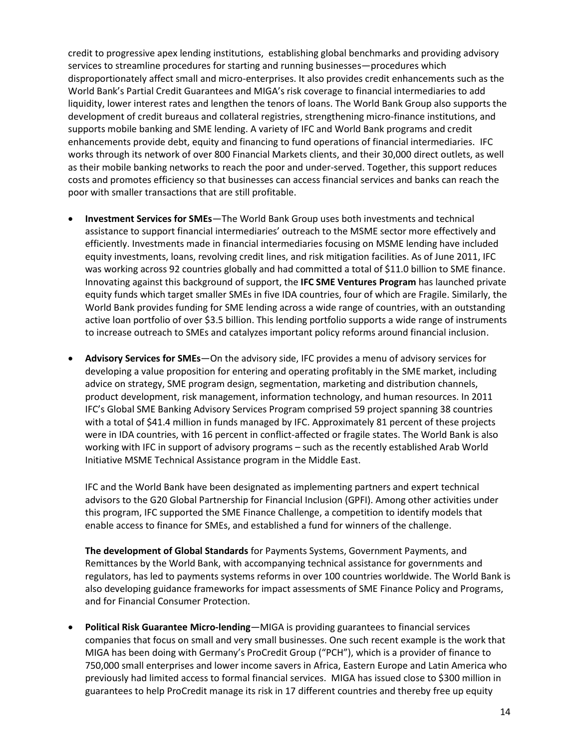credit to progressive apex lending institutions, establishing global benchmarks and providing advisory services to streamline procedures for starting and running businesses—procedures which disproportionately affect small and micro-enterprises. It also provides credit enhancements such as the World Bank's Partial Credit Guarantees and MIGA's risk coverage to financial intermediaries to add liquidity, lower interest rates and lengthen the tenors of loans. The World Bank Group also supports the development of credit bureaus and collateral registries, strengthening micro-finance institutions, and supports mobile banking and SME lending. A variety of IFC and World Bank programs and credit enhancements provide debt, equity and financing to fund operations of financial intermediaries. IFC works through its network of over 800 Financial Markets clients, and their 30,000 direct outlets, as well as their mobile banking networks to reach the poor and under-served. Together, this support reduces costs and promotes efficiency so that businesses can access financial services and banks can reach the poor with smaller transactions that are still profitable.

- **Investment Services for SMEs**—The World Bank Group uses both investments and technical assistance to support financial intermediaries' outreach to the MSME sector more effectively and efficiently. Investments made in financial intermediaries focusing on MSME lending have included equity investments, loans, revolving credit lines, and risk mitigation facilities. As of June 2011, IFC was working across 92 countries globally and had committed a total of \$11.0 billion to SME finance. Innovating against this background of support, the **IFC SME Ventures Program** has launched private equity funds which target smaller SMEs in five IDA countries, four of which are Fragile. Similarly, the World Bank provides funding for SME lending across a wide range of countries, with an outstanding active loan portfolio of over \$3.5 billion. This lending portfolio supports a wide range of instruments to increase outreach to SMEs and catalyzes important policy reforms around financial inclusion.
- **Advisory Services for SMEs**—On the advisory side, IFC provides a menu of advisory services for developing a value proposition for entering and operating profitably in the SME market, including advice on strategy, SME program design, segmentation, marketing and distribution channels, product development, risk management, information technology, and human resources. In 2011 IFC's Global SME Banking Advisory Services Program comprised 59 project spanning 38 countries with a total of \$41.4 million in funds managed by IFC. Approximately 81 percent of these projects were in IDA countries, with 16 percent in conflict-affected or fragile states. The World Bank is also working with IFC in support of advisory programs – such as the recently established Arab World Initiative MSME Technical Assistance program in the Middle East.

IFC and the World Bank have been designated as implementing partners and expert technical advisors to the G20 Global Partnership for Financial Inclusion (GPFI). Among other activities under this program, IFC supported the SME Finance Challenge, a competition to identify models that enable access to finance for SMEs, and established a fund for winners of the challenge.

**The development of Global Standards** for Payments Systems, Government Payments, and Remittances by the World Bank, with accompanying technical assistance for governments and regulators, has led to payments systems reforms in over 100 countries worldwide. The World Bank is also developing guidance frameworks for impact assessments of SME Finance Policy and Programs, and for Financial Consumer Protection.

 **Political Risk Guarantee Micro-lending**—MIGA is providing guarantees to financial services companies that focus on small and very small businesses. One such recent example is the work that MIGA has been doing with Germany's ProCredit Group ("PCH"), which is a provider of finance to 750,000 small enterprises and lower income savers in Africa, Eastern Europe and Latin America who previously had limited access to formal financial services. MIGA has issued close to \$300 million in guarantees to help ProCredit manage its risk in 17 different countries and thereby free up equity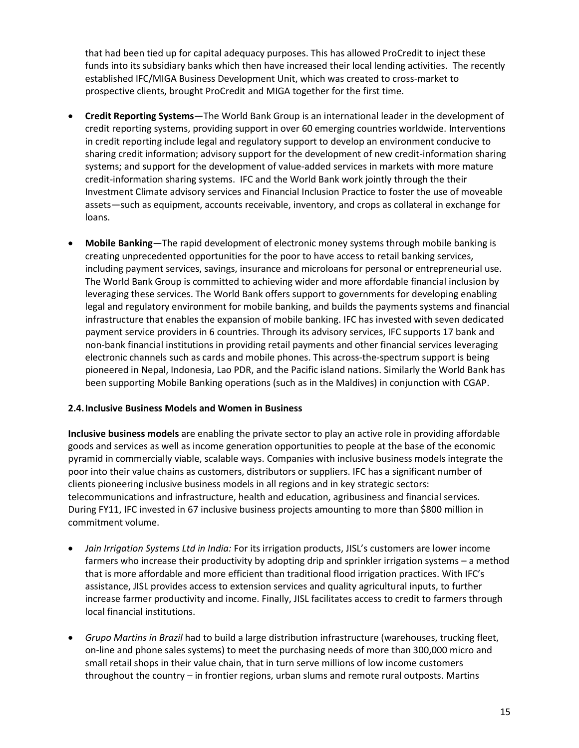that had been tied up for capital adequacy purposes. This has allowed ProCredit to inject these funds into its subsidiary banks which then have increased their local lending activities. The recently established IFC/MIGA Business Development Unit, which was created to cross-market to prospective clients, brought ProCredit and MIGA together for the first time.

- **Credit Reporting Systems**—The World Bank Group is an international leader in the development of credit reporting systems, providing support in over 60 emerging countries worldwide. Interventions in credit reporting include legal and regulatory support to develop an environment conducive to sharing credit information; advisory support for the development of new credit-information sharing systems; and support for the development of value-added services in markets with more mature credit-information sharing systems. IFC and the World Bank work jointly through the their Investment Climate advisory services and Financial Inclusion Practice to foster the use of moveable assets—such as equipment, accounts receivable, inventory, and crops as collateral in exchange for loans.
- **Mobile Banking**—The rapid development of electronic money systems through mobile banking is creating unprecedented opportunities for the poor to have access to retail banking services, including payment services, savings, insurance and microloans for personal or entrepreneurial use. The World Bank Group is committed to achieving wider and more affordable financial inclusion by leveraging these services. The World Bank offers support to governments for developing enabling legal and regulatory environment for mobile banking, and builds the payments systems and financial infrastructure that enables the expansion of mobile banking. IFC has invested with seven dedicated payment service providers in 6 countries. Through its advisory services, IFC supports 17 bank and non-bank financial institutions in providing retail payments and other financial services leveraging electronic channels such as cards and mobile phones. This across-the-spectrum support is being pioneered in Nepal, Indonesia, Lao PDR, and the Pacific island nations. Similarly the World Bank has been supporting Mobile Banking operations (such as in the Maldives) in conjunction with CGAP.

### **2.4.Inclusive Business Models and Women in Business**

**Inclusive business models** are enabling the private sector to play an active role in providing affordable goods and services as well as income generation opportunities to people at the base of the economic pyramid in commercially viable, scalable ways. Companies with inclusive business models integrate the poor into their value chains as customers, distributors or suppliers. IFC has a significant number of clients pioneering inclusive business models in all regions and in key strategic sectors: telecommunications and infrastructure, health and education, agribusiness and financial services. During FY11, IFC invested in 67 inclusive business projects amounting to more than \$800 million in commitment volume.

- *Jain Irrigation Systems Ltd in India:* For its irrigation products, JISL's customers are lower income farmers who increase their productivity by adopting drip and sprinkler irrigation systems – a method that is more affordable and more efficient than traditional flood irrigation practices. With IFC's assistance, JISL provides access to extension services and quality agricultural inputs, to further increase farmer productivity and income. Finally, JISL facilitates access to credit to farmers through local financial institutions.
- *Grupo Martins in Brazil* had to build a large distribution infrastructure (warehouses, trucking fleet, on-line and phone sales systems) to meet the purchasing needs of more than 300,000 micro and small retail shops in their value chain, that in turn serve millions of low income customers throughout the country – in frontier regions, urban slums and remote rural outposts. Martins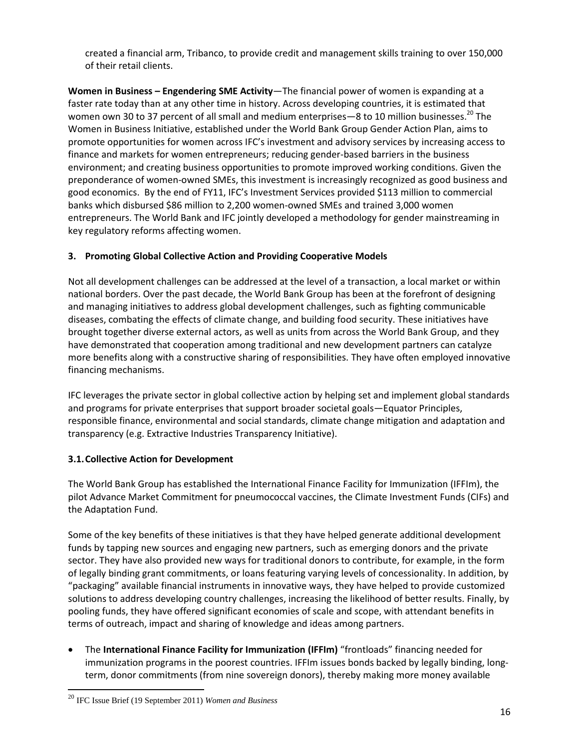created a financial arm, Tribanco, to provide credit and management skills training to over 150,000 of their retail clients.

**Women in Business – Engendering SME Activity**—The financial power of women is expanding at a faster rate today than at any other time in history. Across developing countries, it is estimated that women own 30 to 37 percent of all small and medium enterprises—8 to 10 million businesses.<sup>20</sup> The Women in Business Initiative, established under the World Bank Group Gender Action Plan, aims to promote opportunities for women across IFC's investment and advisory services by increasing access to finance and markets for women entrepreneurs; reducing gender-based barriers in the business environment; and creating business opportunities to promote improved working conditions. Given the preponderance of women-owned SMEs, this investment is increasingly recognized as good business and good economics. By the end of FY11, IFC's Investment Services provided \$113 million to commercial banks which disbursed \$86 million to 2,200 women-owned SMEs and trained 3,000 women entrepreneurs. The World Bank and IFC jointly developed a methodology for gender mainstreaming in key regulatory reforms affecting women.

# **3. Promoting Global Collective Action and Providing Cooperative Models**

Not all development challenges can be addressed at the level of a transaction, a local market or within national borders. Over the past decade, the World Bank Group has been at the forefront of designing and managing initiatives to address global development challenges, such as fighting communicable diseases, combating the effects of climate change, and building food security. These initiatives have brought together diverse external actors, as well as units from across the World Bank Group, and they have demonstrated that cooperation among traditional and new development partners can catalyze more benefits along with a constructive sharing of responsibilities. They have often employed innovative financing mechanisms.

IFC leverages the private sector in global collective action by helping set and implement global standards and programs for private enterprises that support broader societal goals—Equator Principles, responsible finance, environmental and social standards, climate change mitigation and adaptation and transparency (e.g. Extractive Industries Transparency Initiative).

### **3.1.Collective Action for Development**

The World Bank Group has established the International Finance Facility for Immunization (IFFIm), the pilot Advance Market Commitment for pneumococcal vaccines, the Climate Investment Funds (CIFs) and the Adaptation Fund.

Some of the key benefits of these initiatives is that they have helped generate additional development funds by tapping new sources and engaging new partners, such as emerging donors and the private sector. They have also provided new ways for traditional donors to contribute, for example, in the form of legally binding grant commitments, or loans featuring varying levels of concessionality. In addition, by "packaging" available financial instruments in innovative ways, they have helped to provide customized solutions to address developing country challenges, increasing the likelihood of better results. Finally, by pooling funds, they have offered significant economies of scale and scope, with attendant benefits in terms of outreach, impact and sharing of knowledge and ideas among partners.

 The **International Finance Facility for Immunization (IFFIm)** "frontloads" financing needed for immunization programs in the poorest countries. IFFIm issues bonds backed by legally binding, longterm, donor commitments (from nine sovereign donors), thereby making more money available

 $\overline{\phantom{a}}$ 

<sup>20</sup> IFC Issue Brief (19 September 2011) *Women and Business*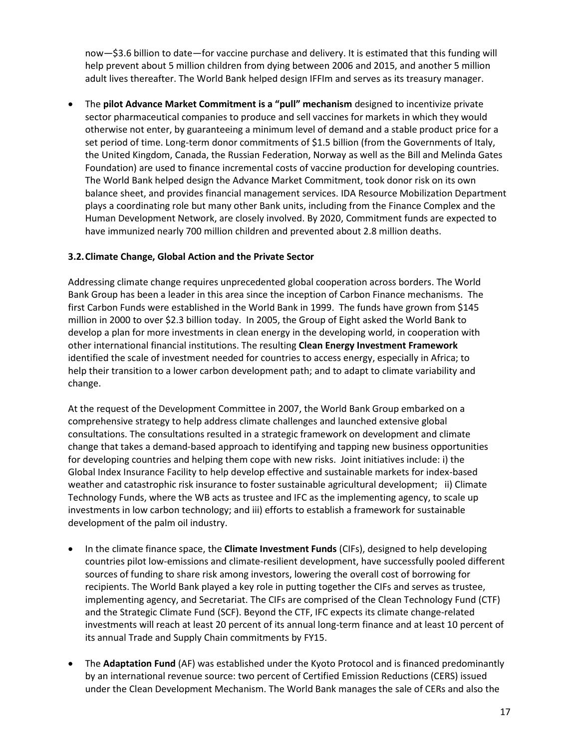now—\$3.6 billion to date—for vaccine purchase and delivery. It is estimated that this funding will help prevent about 5 million children from dying between 2006 and 2015, and another 5 million adult lives thereafter. The World Bank helped design IFFIm and serves as its treasury manager.

 The **pilot Advance Market Commitment is a "pull" mechanism** designed to incentivize private sector pharmaceutical companies to produce and sell vaccines for markets in which they would otherwise not enter, by guaranteeing a minimum level of demand and a stable product price for a set period of time. Long-term donor commitments of \$1.5 billion (from the Governments of Italy, the United Kingdom, Canada, the Russian Federation, Norway as well as the Bill and Melinda Gates Foundation) are used to finance incremental costs of vaccine production for developing countries. The World Bank helped design the Advance Market Commitment, took donor risk on its own balance sheet, and provides financial management services. IDA Resource Mobilization Department plays a coordinating role but many other Bank units, including from the Finance Complex and the Human Development Network, are closely involved. By 2020, Commitment funds are expected to have immunized nearly 700 million children and prevented about 2.8 million deaths.

### **3.2.Climate Change, Global Action and the Private Sector**

Addressing climate change requires unprecedented global cooperation across borders. The World Bank Group has been a leader in this area since the inception of Carbon Finance mechanisms. The first Carbon Funds were established in the World Bank in 1999. The funds have grown from \$145 million in 2000 to over \$2.3 billion today. In 2005, the Group of Eight asked the World Bank to develop a plan for more investments in [clean energy](http://go.worldbank.org/7W3DZHKNF0) in the developing world, in cooperation with other international financial institutions. The resulting **[Clean Energy Investment Framework](http://siteresources.worldbank.org/DEVCOMMINT/Documentation/21289621/DC2007-0002%28E%29-CleanEnergy.pdf)** identified the scale of investment needed for countries to access energy, especially in Africa; to help their transition to a lower carbon development path; and to adapt to climate variability and change.

At the request of the Development Committee in 2007, the World Bank Group embarked on a comprehensive strategy to help address climate challenges and launched extensive global consultations. The consultations resulted in [a strategic framework on development and climate](http://climatechange.worldbank.org/overview/strategic-framework)  [change](http://climatechange.worldbank.org/overview/strategic-framework) that takes a demand-based approach to identifying and tapping new business opportunities for developing countries and helping them cope with new risks. Joint initiatives include: i) the Global Index Insurance Facility to help develop effective and sustainable markets for index-based weather and catastrophic risk insurance to foster sustainable agricultural development; ii) Climate Technology Funds, where the WB acts as trustee and IFC as the implementing agency, to scale up investments in low carbon technology; and iii) efforts to establish a framework for sustainable development of the palm oil industry.

- In the climate finance space, the **Climate Investment Funds** (CIFs), designed to help developing countries pilot low-emissions and climate-resilient development, have successfully pooled different sources of funding to share risk among investors, lowering the overall cost of borrowing for recipients. The World Bank played a key role in putting together the CIFs and serves as trustee, implementing agency, and Secretariat. The CIFs are comprised of the Clean Technology Fund (CTF) and the Strategic Climate Fund (SCF). Beyond the CTF, IFC expects its climate change-related investments will reach at least 20 percent of its annual long-term finance and at least 10 percent of its annual Trade and Supply Chain commitments by FY15.
- The **Adaptation Fund** (AF) was established under the Kyoto Protocol and is financed predominantly by an international revenue source: two percent of Certified Emission Reductions (CERS) issued under the Clean Development Mechanism. The World Bank manages the sale of CERs and also the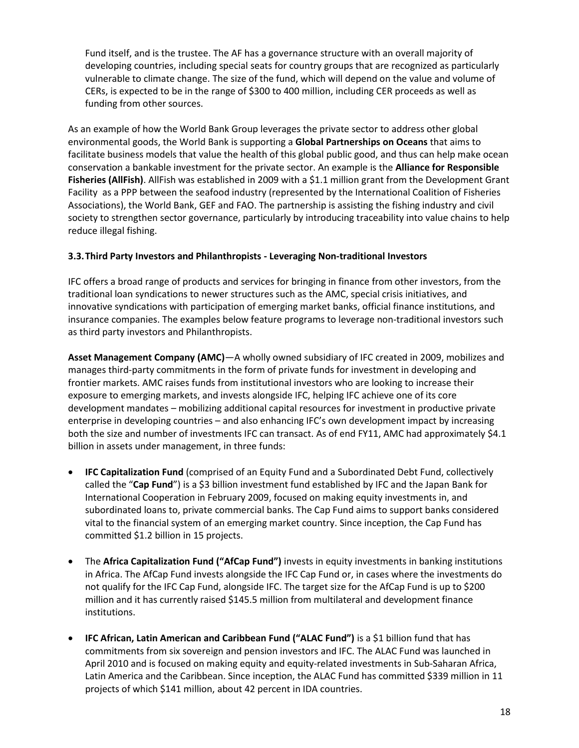Fund itself, and is the trustee. The AF has a governance structure with an overall majority of developing countries, including special seats for country groups that are recognized as particularly vulnerable to climate change. The size of the fund, which will depend on the value and volume of CERs, is expected to be in the range of \$300 to 400 million, including CER proceeds as well as funding from other sources.

As an example of how the World Bank Group leverages the private sector to address other global environmental goods, the World Bank is supporting a **Global Partnerships on Oceans** that aims to facilitate business models that value the health of this global public good, and thus can help make ocean conservation a bankable investment for the private sector. An example is the **Alliance for Responsible Fisheries (AllFish)**. AllFish was established in 2009 with a \$1.1 million grant from the Development Grant Facility as a PPP between the seafood industry (represented by the International Coalition of Fisheries Associations), the World Bank, GEF and FAO. The partnership is assisting the fishing industry and civil society to strengthen sector governance, particularly by introducing traceability into value chains to help reduce illegal fishing.

### **3.3.Third Party Investors and Philanthropists - Leveraging Non-traditional Investors**

IFC offers a broad range of products and services for bringing in finance from other investors, from the traditional loan syndications to newer structures such as the AMC, special crisis initiatives, and innovative syndications with participation of emerging market banks, official finance institutions, and insurance companies. The examples below feature programs to leverage non-traditional investors such as third party investors and Philanthropists.

**Asset Management Company (AMC)**—A wholly owned subsidiary of IFC created in 2009, mobilizes and manages third-party commitments in the form of private funds for investment in developing and frontier markets. AMC raises funds from institutional investors who are looking to increase their exposure to emerging markets, and invests alongside IFC, helping IFC achieve one of its core development mandates – mobilizing additional capital resources for investment in productive private enterprise in developing countries – and also enhancing IFC's own development impact by increasing both the size and number of investments IFC can transact. As of end FY11, AMC had approximately \$4.1 billion in assets under management, in three funds:

- **IFC Capitalization Fund** (comprised of an Equity Fund and a Subordinated Debt Fund, collectively called the "**Cap Fund**") is a \$3 billion investment fund established by IFC and the Japan Bank for International Cooperation in February 2009, focused on making equity investments in, and subordinated loans to, private commercial banks. The Cap Fund aims to support banks considered vital to the financial system of an emerging market country. Since inception, the Cap Fund has committed \$1.2 billion in 15 projects.
- The **Africa Capitalization Fund ("AfCap Fund")** invests in equity investments in banking institutions in Africa. The AfCap Fund invests alongside the IFC Cap Fund or, in cases where the investments do not qualify for the IFC Cap Fund, alongside IFC. The target size for the AfCap Fund is up to \$200 million and it has currently raised \$145.5 million from multilateral and development finance institutions.
- **IFC African, Latin American and Caribbean Fund ("ALAC Fund")** is a \$1 billion fund that has commitments from six sovereign and pension investors and IFC. The ALAC Fund was launched in April 2010 and is focused on making equity and equity-related investments in Sub-Saharan Africa, Latin America and the Caribbean. Since inception, the ALAC Fund has committed \$339 million in 11 projects of which \$141 million, about 42 percent in IDA countries.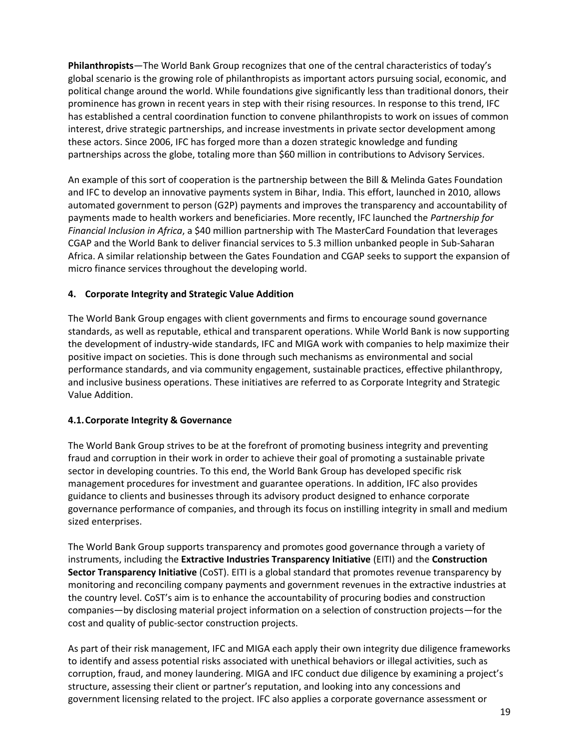**Philanthropists**—The World Bank Group recognizes that one of the central characteristics of today's global scenario is the growing role of philanthropists as important actors pursuing social, economic, and political change around the world. While foundations give significantly less than traditional donors, their prominence has grown in recent years in step with their rising resources. In response to this trend, IFC has established a central coordination function to convene philanthropists to work on issues of common interest, drive strategic partnerships, and increase investments in private sector development among these actors. Since 2006, IFC has forged more than a dozen strategic knowledge and funding partnerships across the globe, totaling more than \$60 million in contributions to Advisory Services.

An example of this sort of cooperation is the partnership between the Bill & Melinda Gates Foundation and IFC to develop an innovative payments system in Bihar, India. This effort, launched in 2010, allows automated government to person (G2P) payments and improves the transparency and accountability of payments made to health workers and beneficiaries. More recently, IFC launched the *Partnership for Financial Inclusion in Africa*, a \$40 million partnership with The MasterCard Foundation that leverages CGAP and the World Bank to deliver financial services to 5.3 million unbanked people in Sub-Saharan Africa. A similar relationship between the Gates Foundation and CGAP seeks to support the expansion of micro finance services throughout the developing world.

### **4. Corporate Integrity and Strategic Value Addition**

The World Bank Group engages with client governments and firms to encourage sound governance standards, as well as reputable, ethical and transparent operations. While World Bank is now supporting the development of industry-wide standards, IFC and MIGA work with companies to help maximize their positive impact on societies. This is done through such mechanisms as environmental and social performance standards, and via community engagement, sustainable practices, effective philanthropy, and inclusive business operations. These initiatives are referred to as Corporate Integrity and Strategic Value Addition.

### **4.1.Corporate Integrity & Governance**

The World Bank Group strives to be at the forefront of promoting business integrity and preventing fraud and corruption in their work in order to achieve their goal of promoting a sustainable private sector in developing countries. To this end, the World Bank Group has developed specific risk management procedures for investment and guarantee operations. In addition, IFC also provides guidance to clients and businesses through its advisory product designed to enhance corporate governance performance of companies, and through its focus on instilling integrity in small and medium sized enterprises.

The World Bank Group supports transparency and promotes good governance through a variety of instruments, including the **Extractive Industries Transparency Initiative** (EITI) and the **Construction Sector Transparency Initiative** (CoST). EITI is a global standard that promotes revenue transparency by monitoring and reconciling company payments and government revenues in the extractive industries at the country level. CoST's aim is to enhance the accountability of procuring bodies and construction companies—by disclosing material project information on a selection of construction projects—for the cost and quality of public-sector construction projects.

As part of their risk management, IFC and MIGA each apply their own integrity due diligence frameworks to identify and assess potential risks associated with unethical behaviors or illegal activities, such as corruption, fraud, and money laundering. MIGA and IFC conduct due diligence by examining a project's structure, assessing their client or partner's reputation, and looking into any concessions and government licensing related to the project. IFC also applies a corporate governance assessment or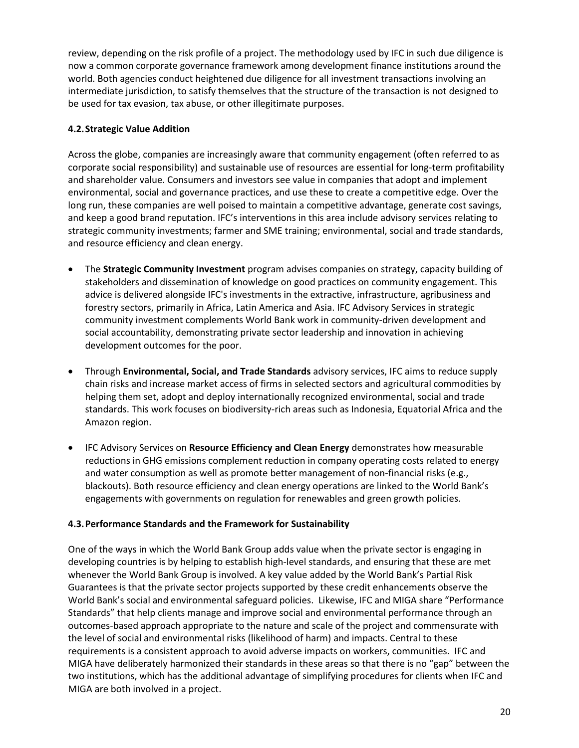review, depending on the risk profile of a project. The methodology used by IFC in such due diligence is now a common corporate governance framework among development finance institutions around the world. Both agencies conduct heightened due diligence for all investment transactions involving an intermediate jurisdiction, to satisfy themselves that the structure of the transaction is not designed to be used for tax evasion, tax abuse, or other illegitimate purposes.

### **4.2.Strategic Value Addition**

Across the globe, companies are increasingly aware that community engagement (often referred to as corporate social responsibility) and sustainable use of resources are essential for long-term profitability and shareholder value. Consumers and investors see value in companies that adopt and implement environmental, social and governance practices, and use these to create a competitive edge. Over the long run, these companies are well poised to maintain a competitive advantage, generate cost savings, and keep a good brand reputation. IFC's interventions in this area include advisory services relating to strategic community investments; farmer and SME training; environmental, social and trade standards, and resource efficiency and clean energy.

- The **Strategic Community Investment** program advises companies on strategy, capacity building of stakeholders and dissemination of knowledge on good practices on community engagement. This advice is delivered alongside IFC's investments in the extractive, infrastructure, agribusiness and forestry sectors, primarily in Africa, Latin America and Asia. IFC Advisory Services in strategic community investment complements World Bank work in community-driven development and social accountability, demonstrating private sector leadership and innovation in achieving development outcomes for the poor.
- Through **Environmental, Social, and Trade Standards** advisory services, IFC aims to reduce supply chain risks and increase market access of firms in selected sectors and agricultural commodities by helping them set, adopt and deploy internationally recognized environmental, social and trade standards. This work focuses on biodiversity-rich areas such as Indonesia, Equatorial Africa and the Amazon region.
- IFC Advisory Services on **Resource Efficiency and Clean Energy** demonstrates how measurable reductions in GHG emissions complement reduction in company operating costs related to energy and water consumption as well as promote better management of non-financial risks (e.g., blackouts). Both resource efficiency and clean energy operations are linked to the World Bank's engagements with governments on regulation for renewables and green growth policies.

# **4.3.Performance Standards and the Framework for Sustainability**

One of the ways in which the World Bank Group adds value when the private sector is engaging in developing countries is by helping to establish high-level standards, and ensuring that these are met whenever the World Bank Group is involved. A key value added by the World Bank's Partial Risk Guarantees is that the private sector projects supported by these credit enhancements observe the World Bank's social and environmental safeguard policies. Likewise, IFC and MIGA share "Performance Standards" that help clients manage and improve social and environmental performance through an outcomes-based approach appropriate to the nature and scale of the project and commensurate with the level of social and environmental risks (likelihood of harm) and impacts. Central to these requirements is a consistent approach to avoid adverse impacts on workers, communities. IFC and MIGA have deliberately harmonized their standards in these areas so that there is no "gap" between the two institutions, which has the additional advantage of simplifying procedures for clients when IFC and MIGA are both involved in a project.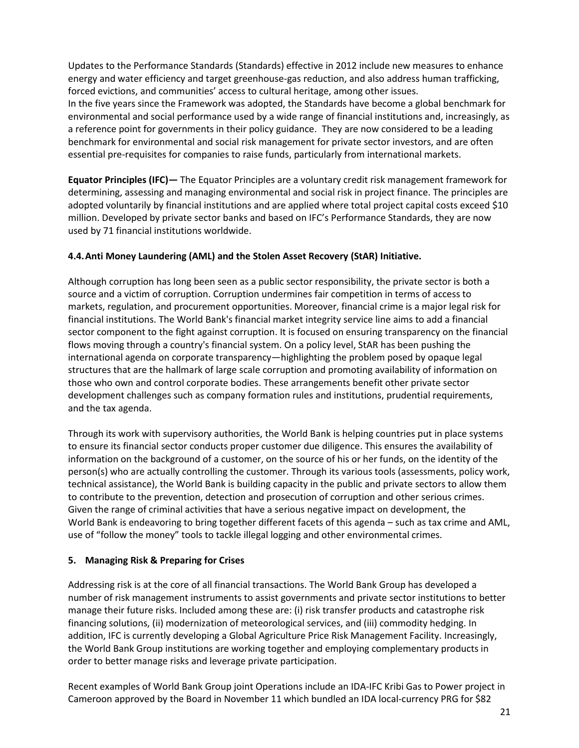Updates to the Performance Standards (Standards) effective in 2012 include new measures to enhance energy and water efficiency and target greenhouse-gas reduction, and also address human trafficking, forced evictions, and communities' access to cultural heritage, among other issues. In the five years since the Framework was adopted, the Standards have become a global benchmark for environmental and social performance used by a wide range of financial institutions and, increasingly, as a reference point for governments in their policy guidance. They are now considered to be a leading benchmark for environmental and social risk management for private sector investors, and are often essential pre-requisites for companies to raise funds, particularly from international markets.

**Equator Principles (IFC)—** The Equator Principles are a voluntary credit risk management framework for determining, assessing and managing environmental and social risk in project finance. The principles are adopted voluntarily by financial institutions and are applied where total project capital costs exceed \$10 million. Developed by private sector banks and based on IFC's Performance Standards, they are now used by 71 financial institutions worldwide.

#### **4.4.Anti Money Laundering (AML) and the Stolen Asset Recovery (StAR) Initiative.**

Although corruption has long been seen as a public sector responsibility, the private sector is both a source and a victim of corruption. Corruption undermines fair competition in terms of access to markets, regulation, and procurement opportunities. Moreover, financial crime is a major legal risk for financial institutions. The World Bank's financial market integrity service line aims to add a financial sector component to the fight against corruption. It is focused on ensuring transparency on the financial flows moving through a country's financial system. On a policy level, StAR has been pushing the international agenda on corporate transparency—highlighting the problem posed by opaque legal structures that are the hallmark of large scale corruption and promoting availability of information on those who own and control corporate bodies. These arrangements benefit other private sector development challenges such as company formation rules and institutions, prudential requirements, and the tax agenda.

Through its work with supervisory authorities, the World Bank is helping countries put in place systems to ensure its financial sector conducts proper customer due diligence. This ensures the availability of information on the background of a customer, on the source of his or her funds, on the identity of the person(s) who are actually controlling the customer. Through its various tools (assessments, policy work, technical assistance), the World Bank is building capacity in the public and private sectors to allow them to contribute to the prevention, detection and prosecution of corruption and other serious crimes. Given the range of criminal activities that have a serious negative impact on development, the World Bank is endeavoring to bring together different facets of this agenda – such as tax crime and AML, use of "follow the money" tools to tackle illegal logging and other environmental crimes.

#### **5. Managing Risk & Preparing for Crises**

Addressing risk is at the core of all financial transactions. The World Bank Group has developed a number of risk management instruments to assist governments and private sector institutions to better manage their future risks. Included among these are: (i) risk transfer products and catastrophe risk financing solutions, (ii) modernization of meteorological services, and (iii) commodity hedging. In addition, IFC is currently developing a Global Agriculture Price Risk Management Facility. Increasingly, the World Bank Group institutions are working together and employing complementary products in order to better manage risks and leverage private participation.

Recent examples of World Bank Group joint Operations include an IDA-IFC Kribi Gas to Power project in Cameroon approved by the Board in November 11 which bundled an IDA local-currency PRG for \$82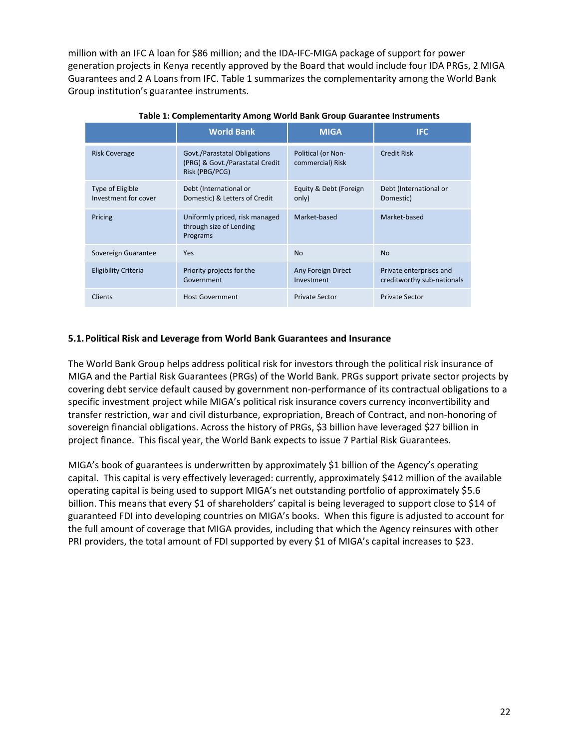million with an IFC A loan for \$86 million; and the IDA-IFC-MIGA package of support for power generation projects in Kenya recently approved by the Board that would include four IDA PRGs, 2 MIGA Guarantees and 2 A Loans from IFC. Table 1 summarizes the complementarity among the World Bank Group institution's guarantee instruments.

|                                          | <b>World Bank</b>                                                                 | <b>MIGA</b>                            | <b>IFC</b>                                            |
|------------------------------------------|-----------------------------------------------------------------------------------|----------------------------------------|-------------------------------------------------------|
| <b>Risk Coverage</b>                     | Govt./Parastatal Obligations<br>(PRG) & Govt./Parastatal Credit<br>Risk (PBG/PCG) | Political (or Non-<br>commercial) Risk | <b>Credit Risk</b>                                    |
| Type of Eligible<br>Investment for cover | Debt (International or<br>Domestic) & Letters of Credit                           | Equity & Debt (Foreign<br>only)        | Debt (International or<br>Domestic)                   |
| Pricing                                  | Uniformly priced, risk managed<br>through size of Lending<br>Programs             | Market-based                           | Market-based                                          |
| Sovereign Guarantee                      | Yes                                                                               | <b>No</b>                              | <b>No</b>                                             |
| Eligibility Criteria                     | Priority projects for the<br>Government                                           | Any Foreign Direct<br>Investment       | Private enterprises and<br>creditworthy sub-nationals |
| <b>Clients</b>                           | <b>Host Government</b>                                                            | <b>Private Sector</b>                  | <b>Private Sector</b>                                 |

**Table 1: Complementarity Among World Bank Group Guarantee Instruments**

#### **5.1.Political Risk and Leverage from World Bank Guarantees and Insurance**

The World Bank Group helps address political risk for investors through the political risk insurance of MIGA and the Partial Risk Guarantees (PRGs) of the World Bank. PRGs support private sector projects by covering debt service default caused by government non-performance of its contractual obligations to a specific investment project while MIGA's political risk insurance covers currency inconvertibility and transfer restriction, war and civil disturbance, expropriation, Breach of Contract, and non-honoring of sovereign financial obligations. Across the history of PRGs, \$3 billion have leveraged \$27 billion in project finance. This fiscal year, the World Bank expects to issue 7 Partial Risk Guarantees.

MIGA's book of guarantees is underwritten by approximately \$1 billion of the Agency's operating capital. This capital is very effectively leveraged: currently, approximately \$412 million of the available operating capital is being used to support MIGA's net outstanding portfolio of approximately \$5.6 billion. This means that every \$1 of shareholders' capital is being leveraged to support close to \$14 of guaranteed FDI into developing countries on MIGA's books. When this figure is adjusted to account for the full amount of coverage that MIGA provides, including that which the Agency reinsures with other PRI providers, the total amount of FDI supported by every \$1 of MIGA's capital increases to \$23.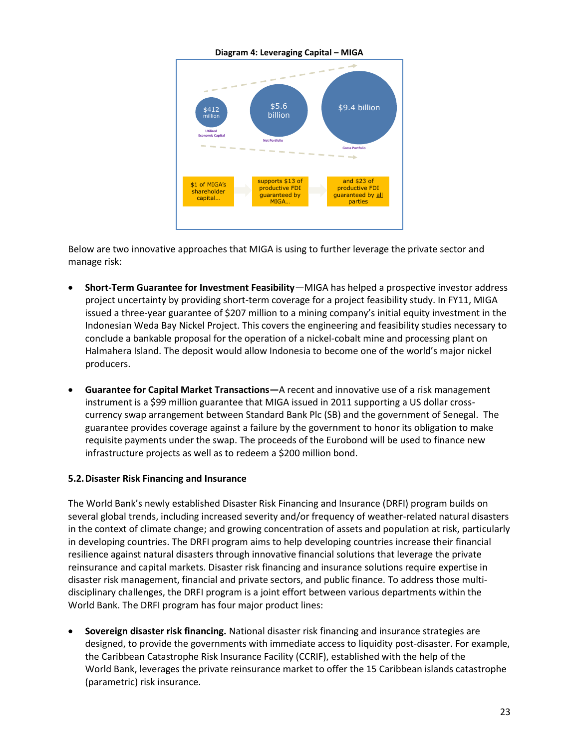

Below are two innovative approaches that MIGA is using to further leverage the private sector and manage risk:

- **Short-Term Guarantee for Investment Feasibility***—*MIGA has helped a prospective investor address project uncertainty by providing short-term coverage for a project feasibility study. In FY11, MIGA issued a three-year guarantee of \$207 million to a mining company's initial equity investment in the Indonesian Weda Bay Nickel Project. This covers the engineering and feasibility studies necessary to conclude a bankable proposal for the operation of a nickel-cobalt mine and processing plant on Halmahera Island. The deposit would allow Indonesia to become one of the world's major nickel producers.
- **Guarantee for Capital Market Transactions—**A recent and innovative use of a risk management instrument is a \$99 million guarantee that MIGA issued in 2011 supporting a US dollar crosscurrency swap arrangement between Standard Bank Plc (SB) and the government of Senegal. The guarantee provides coverage against a failure by the government to honor its obligation to make requisite payments under the swap. The proceeds of the Eurobond will be used to finance new infrastructure projects as well as to redeem a \$200 million bond.

#### **5.2.Disaster Risk Financing and Insurance**

The World Bank's newly established Disaster Risk Financing and Insurance (DRFI) program builds on several global trends, including increased severity and/or frequency of weather-related natural disasters in the context of climate change; and growing concentration of assets and population at risk, particularly in developing countries. The DRFI program aims to help developing countries increase their financial resilience against natural disasters through innovative financial solutions that leverage the private reinsurance and capital markets. Disaster risk financing and insurance solutions require expertise in disaster risk management, financial and private sectors, and public finance. To address those multidisciplinary challenges, the DRFI program is a joint effort between various departments within the World Bank. The DRFI program has four major product lines:

 **Sovereign disaster risk financing.** National disaster risk financing and insurance strategies are designed, to provide the governments with immediate access to liquidity post-disaster. For example, the Caribbean Catastrophe Risk Insurance Facility (CCRIF), established with the help of the World Bank, leverages the private reinsurance market to offer the 15 Caribbean islands catastrophe (parametric) risk insurance.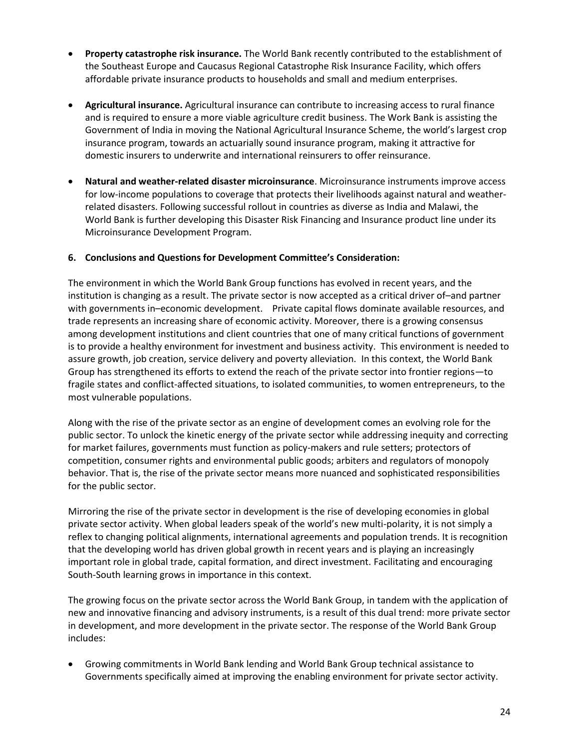- **Property catastrophe risk insurance.** The World Bank recently contributed to the establishment of the Southeast Europe and Caucasus Regional Catastrophe Risk Insurance Facility, which offers affordable private insurance products to households and small and medium enterprises.
- **Agricultural insurance.** Agricultural insurance can contribute to increasing access to rural finance and is required to ensure a more viable agriculture credit business. The Work Bank is assisting the Government of India in moving the National Agricultural Insurance Scheme, the world's largest crop insurance program, towards an actuarially sound insurance program, making it attractive for domestic insurers to underwrite and international reinsurers to offer reinsurance.
- **Natural and weather-related disaster microinsurance**. Microinsurance instruments improve access for low-income populations to coverage that protects their livelihoods against natural and weatherrelated disasters. Following successful rollout in countries as diverse as India and Malawi, the World Bank is further developing this Disaster Risk Financing and Insurance product line under its Microinsurance Development Program.

#### **6. Conclusions and Questions for Development Committee's Consideration:**

The environment in which the World Bank Group functions has evolved in recent years, and the institution is changing as a result. The private sector is now accepted as a critical driver of–and partner with governments in–economic development. Private capital flows dominate available resources, and trade represents an increasing share of economic activity. Moreover, there is a growing consensus among development institutions and client countries that one of many critical functions of government is to provide a healthy environment for investment and business activity. This environment is needed to assure growth, job creation, service delivery and poverty alleviation. In this context, the World Bank Group has strengthened its efforts to extend the reach of the private sector into frontier regions—to fragile states and conflict-affected situations, to isolated communities, to women entrepreneurs, to the most vulnerable populations.

Along with the rise of the private sector as an engine of development comes an evolving role for the public sector. To unlock the kinetic energy of the private sector while addressing inequity and correcting for market failures, governments must function as policy-makers and rule setters; protectors of competition, consumer rights and environmental public goods; arbiters and regulators of monopoly behavior. That is, the rise of the private sector means more nuanced and sophisticated responsibilities for the public sector.

Mirroring the rise of the private sector in development is the rise of developing economies in global private sector activity. When global leaders speak of the world's new multi-polarity, it is not simply a reflex to changing political alignments, international agreements and population trends. It is recognition that the developing world has driven global growth in recent years and is playing an increasingly important role in global trade, capital formation, and direct investment. Facilitating and encouraging South-South learning grows in importance in this context.

The growing focus on the private sector across the World Bank Group, in tandem with the application of new and innovative financing and advisory instruments, is a result of this dual trend: more private sector in development, and more development in the private sector. The response of the World Bank Group includes:

 Growing commitments in World Bank lending and World Bank Group technical assistance to Governments specifically aimed at improving the enabling environment for private sector activity.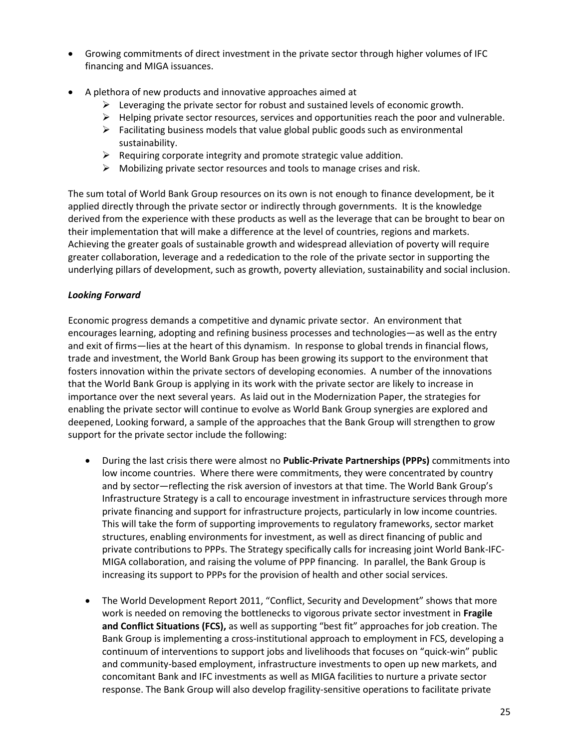- Growing commitments of direct investment in the private sector through higher volumes of IFC financing and MIGA issuances.
- A plethora of new products and innovative approaches aimed at
	- $\triangleright$  Leveraging the private sector for robust and sustained levels of economic growth.
	- $\triangleright$  Helping private sector resources, services and opportunities reach the poor and vulnerable.
	- $\triangleright$  Facilitating business models that value global public goods such as environmental sustainability.
	- $\triangleright$  Requiring corporate integrity and promote strategic value addition.
	- $\triangleright$  Mobilizing private sector resources and tools to manage crises and risk.

The sum total of World Bank Group resources on its own is not enough to finance development, be it applied directly through the private sector or indirectly through governments. It is the knowledge derived from the experience with these products as well as the leverage that can be brought to bear on their implementation that will make a difference at the level of countries, regions and markets. Achieving the greater goals of sustainable growth and widespread alleviation of poverty will require greater collaboration, leverage and a rededication to the role of the private sector in supporting the underlying pillars of development, such as growth, poverty alleviation, sustainability and social inclusion.

#### *Looking Forward*

Economic progress demands a competitive and dynamic private sector. An environment that encourages learning, adopting and refining business processes and technologies—as well as the entry and exit of firms—lies at the heart of this dynamism. In response to global trends in financial flows, trade and investment, the World Bank Group has been growing its support to the environment that fosters innovation within the private sectors of developing economies. A number of the innovations that the World Bank Group is applying in its work with the private sector are likely to increase in importance over the next several years. As laid out in the Modernization Paper, the strategies for enabling the private sector will continue to evolve as World Bank Group synergies are explored and deepened, Looking forward, a sample of the approaches that the Bank Group will strengthen to grow support for the private sector include the following:

- During the last crisis there were almost no **Public-Private Partnerships (PPPs)** commitments into low income countries. Where there were commitments, they were concentrated by country and by sector—reflecting the risk aversion of investors at that time. The World Bank Group's Infrastructure Strategy is a call to encourage investment in infrastructure services through more private financing and support for infrastructure projects, particularly in low income countries. This will take the form of supporting improvements to regulatory frameworks, sector market structures, enabling environments for investment, as well as direct financing of public and private contributions to PPPs. The Strategy specifically calls for increasing joint World Bank-IFC-MIGA collaboration, and raising the volume of PPP financing. In parallel, the Bank Group is increasing its support to PPPs for the provision of health and other social services.
- The World Development Report 2011, "Conflict, Security and Development" shows that more work is needed on removing the bottlenecks to vigorous private sector investment in **Fragile and Conflict Situations (FCS),** as well as supporting "best fit" approaches for job creation. The Bank Group is implementing a cross-institutional approach to employment in FCS, developing a continuum of interventions to support jobs and livelihoods that focuses on "quick-win" public and community-based employment, infrastructure investments to open up new markets, and concomitant Bank and IFC investments as well as MIGA facilities to nurture a private sector response. The Bank Group will also develop fragility-sensitive operations to facilitate private